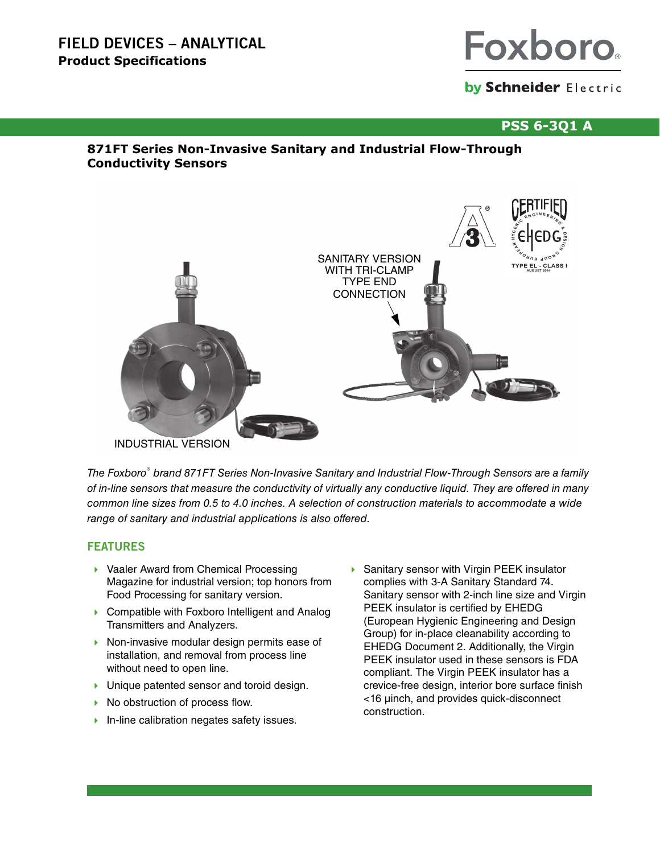# **FIELD DEVICES – ANALYTICAL Product Specifications**



# by Schneider Electric

# **PSS 6-3Q1 A**

# **871FT Series Non-Invasive Sanitary and Industrial Flow-Through Conductivity Sensors**



INDUSTRIAL VERSION

The Foxboro® brand 871FT Series Non-Invasive Sanitary and Industrial Flow-Through Sensors are a family of in-line sensors that measure the conductivity of virtually any conductive liquid. They are offered in many common line sizes from 0.5 to 4.0 inches. A selection of construction materials to accommodate a wide range of sanitary and industrial applications is also offered.

# **FEATURES**

- ▶ Vaaler Award from Chemical Processing Magazine for industrial version; top honors from Food Processing for sanitary version.
- ▶ Compatible with Foxboro Intelligent and Analog Transmitters and Analyzers.
- $\triangleright$  Non-invasive modular design permits ease of installation, and removal from process line without need to open line.
- **I** Unique patented sensor and toroid design.
- $\triangleright$  No obstruction of process flow.
- $\blacktriangleright$  In-line calibration negates safety issues.
- Sanitary sensor with Virgin PEEK insulator complies with 3-A Sanitary Standard 74. Sanitary sensor with 2-inch line size and Virgin PEEK insulator is certified by EHEDG (European Hygienic Engineering and Design Group) for in-place cleanability according to EHEDG Document 2. Additionally, the Virgin PEEK insulator used in these sensors is FDA compliant. The Virgin PEEK insulator has a crevice-free design, interior bore surface finish <16 μinch, and provides quick-disconnect construction.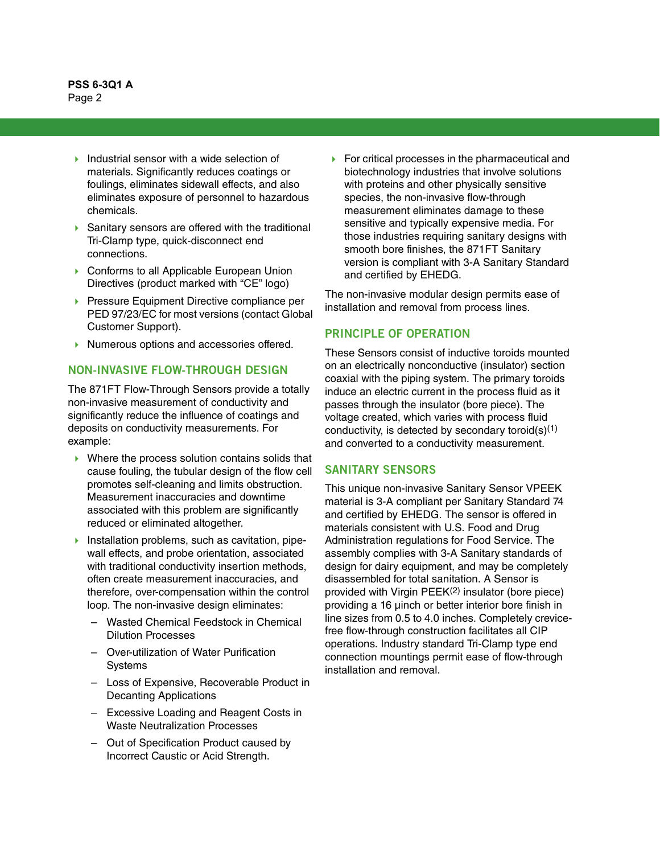- Industrial sensor with a wide selection of materials. Significantly reduces coatings or foulings, eliminates sidewall effects, and also eliminates exposure of personnel to hazardous chemicals.
- ▶ Sanitary sensors are offered with the traditional Tri-Clamp type, quick-disconnect end connections.
- ▶ Conforms to all Applicable European Union Directives (product marked with "CE" logo)
- **Pressure Equipment Directive compliance per** PED 97/23/EC for most versions (contact Global Customer Support).
- Numerous options and accessories offered.

# **NON-INVASIVE FLOW-THROUGH DESIGN**

The 871FT Flow-Through Sensors provide a totally non-invasive measurement of conductivity and significantly reduce the influence of coatings and deposits on conductivity measurements. For example:

- Where the process solution contains solids that cause fouling, the tubular design of the flow cell promotes self-cleaning and limits obstruction. Measurement inaccuracies and downtime associated with this problem are significantly reduced or eliminated altogether.
- Installation problems, such as cavitation, pipewall effects, and probe orientation, associated with traditional conductivity insertion methods, often create measurement inaccuracies, and therefore, over-compensation within the control loop. The non-invasive design eliminates:
	- Wasted Chemical Feedstock in Chemical Dilution Processes
	- Over-utilization of Water Purification Systems
	- Loss of Expensive, Recoverable Product in Decanting Applications
	- Excessive Loading and Reagent Costs in Waste Neutralization Processes
	- Out of Specification Product caused by Incorrect Caustic or Acid Strength.

 For critical processes in the pharmaceutical and biotechnology industries that involve solutions with proteins and other physically sensitive species, the non-invasive flow-through measurement eliminates damage to these sensitive and typically expensive media. For those industries requiring sanitary designs with smooth bore finishes, the 871FT Sanitary version is compliant with 3-A Sanitary Standard and certified by EHEDG.

The non-invasive modular design permits ease of installation and removal from process lines.

### **PRINCIPLE OF OPERATION**

These Sensors consist of inductive toroids mounted on an electrically nonconductive (insulator) section coaxial with the piping system. The primary toroids induce an electric current in the process fluid as it passes through the insulator (bore piece). The voltage created, which varies with process fluid conductivity, is detected by secondary toroid(s)<sup>(1)</sup> and converted to a conductivity measurement.

#### **SANITARY SENSORS**

This unique non-invasive Sanitary Sensor VPEEK material is 3-A compliant per Sanitary Standard 74 and certified by EHEDG. The sensor is offered in materials consistent with U.S. Food and Drug Administration regulations for Food Service. The assembly complies with 3-A Sanitary standards of design for dairy equipment, and may be completely disassembled for total sanitation. A Sensor is provided with Virgin PEEK<sup>(2)</sup> insulator (bore piece) providing a 16 μinch or better interior bore finish in line sizes from 0.5 to 4.0 inches. Completely crevicefree flow-through construction facilitates all CIP operations. Industry standard Tri-Clamp type end connection mountings permit ease of flow-through installation and removal.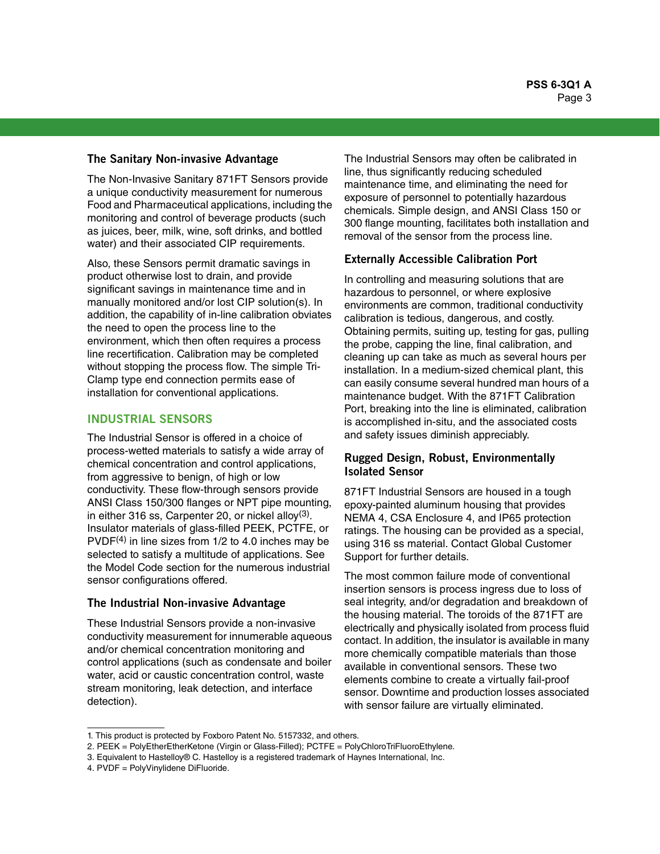#### **The Sanitary Non-invasive Advantage**

The Non-Invasive Sanitary 871FT Sensors provide a unique conductivity measurement for numerous Food and Pharmaceutical applications, including the monitoring and control of beverage products (such as juices, beer, milk, wine, soft drinks, and bottled water) and their associated CIP requirements.

Also, these Sensors permit dramatic savings in product otherwise lost to drain, and provide significant savings in maintenance time and in manually monitored and/or lost CIP solution(s). In addition, the capability of in-line calibration obviates the need to open the process line to the environment, which then often requires a process line recertification. Calibration may be completed without stopping the process flow. The simple Tri-Clamp type end connection permits ease of installation for conventional applications.

#### **INDUSTRIAL SENSORS**

The Industrial Sensor is offered in a choice of process-wetted materials to satisfy a wide array of chemical concentration and control applications, from aggressive to benign, of high or low conductivity. These flow-through sensors provide ANSI Class 150/300 flanges or NPT pipe mounting, in either 316 ss, Carpenter 20, or nickel alloy $(3)$ . Insulator materials of glass-filled PEEK, PCTFE, or  $PVDF<sup>(4)</sup>$  in line sizes from  $1/2$  to 4.0 inches may be selected to satisfy a multitude of applications. See the Model Code section for the numerous industrial sensor configurations offered.

#### **The Industrial Non-invasive Advantage**

These Industrial Sensors provide a non-invasive conductivity measurement for innumerable aqueous and/or chemical concentration monitoring and control applications (such as condensate and boiler water, acid or caustic concentration control, waste stream monitoring, leak detection, and interface detection).

The Industrial Sensors may often be calibrated in line, thus significantly reducing scheduled maintenance time, and eliminating the need for exposure of personnel to potentially hazardous chemicals. Simple design, and ANSI Class 150 or 300 flange mounting, facilitates both installation and removal of the sensor from the process line.

#### **Externally Accessible Calibration Port**

In controlling and measuring solutions that are hazardous to personnel, or where explosive environments are common, traditional conductivity calibration is tedious, dangerous, and costly. Obtaining permits, suiting up, testing for gas, pulling the probe, capping the line, final calibration, and cleaning up can take as much as several hours per installation. In a medium-sized chemical plant, this can easily consume several hundred man hours of a maintenance budget. With the 871FT Calibration Port, breaking into the line is eliminated, calibration is accomplished in-situ, and the associated costs and safety issues diminish appreciably.

# **Rugged Design, Robust, Environmentally Isolated Sensor**

871FT Industrial Sensors are housed in a tough epoxy-painted aluminum housing that provides NEMA 4, CSA Enclosure 4, and IP65 protection ratings. The housing can be provided as a special, using 316 ss material. Contact Global Customer Support for further details.

The most common failure mode of conventional insertion sensors is process ingress due to loss of seal integrity, and/or degradation and breakdown of the housing material. The toroids of the 871FT are electrically and physically isolated from process fluid contact. In addition, the insulator is available in many more chemically compatible materials than those available in conventional sensors. These two elements combine to create a virtually fail-proof sensor. Downtime and production losses associated with sensor failure are virtually eliminated.

<sup>1.</sup> This product is protected by Foxboro Patent No. 5157332, and others.

<sup>2.</sup> PEEK = PolyEtherEtherKetone (Virgin or Glass-Filled); PCTFE = PolyChloroTriFluoroEthylene.

<sup>3.</sup> Equivalent to Hastelloy® C. Hastelloy is a registered trademark of Haynes International, Inc.

<sup>4.</sup> PVDF = PolyVinylidene DiFluoride.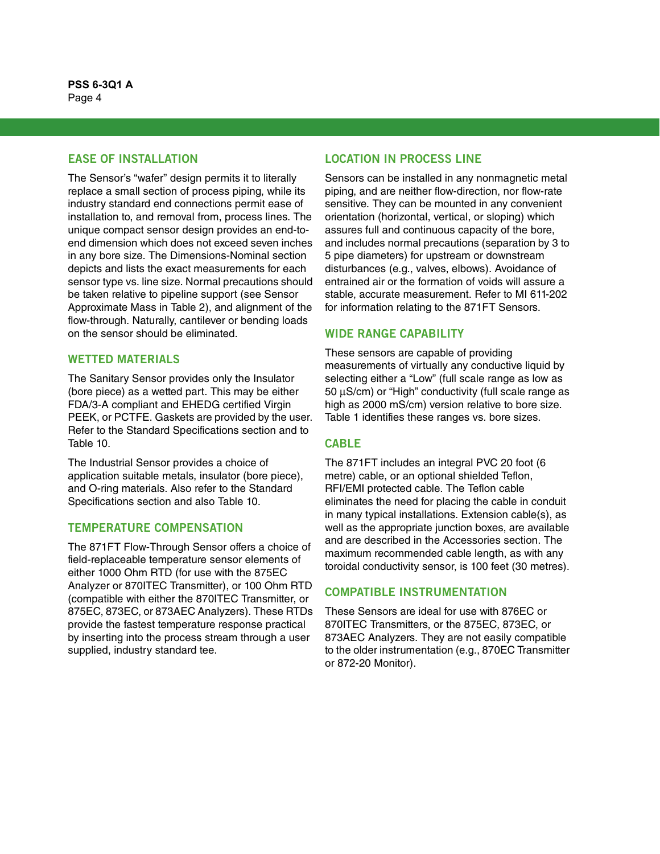# **EASE OF INSTALLATION**

The Sensor's "wafer" design permits it to literally replace a small section of process piping, while its industry standard end connections permit ease of installation to, and removal from, process lines. The unique compact sensor design provides an end-toend dimension which does not exceed seven inches in any bore size. The Dimensions-Nominal section depicts and lists the exact measurements for each sensor type vs. line size. Normal precautions should be taken relative to pipeline support (see Sensor Approximate Mass in Table 2), and alignment of the flow-through. Naturally, cantilever or bending loads on the sensor should be eliminated.

# **WETTED MATERIALS**

The Sanitary Sensor provides only the Insulator (bore piece) as a wetted part. This may be either FDA/3-A compliant and EHEDG certified Virgin PEEK, or PCTFE. Gaskets are provided by the user. Refer to the Standard Specifications section and to Table 10.

The Industrial Sensor provides a choice of application suitable metals, insulator (bore piece), and O-ring materials. Also refer to the Standard Specifications section and also Table 10.

#### **TEMPERATURE COMPENSATION**

The 871FT Flow-Through Sensor offers a choice of field-replaceable temperature sensor elements of either 1000 Ohm RTD (for use with the 875EC Analyzer or 870ITEC Transmitter), or 100 Ohm RTD (compatible with either the 870ITEC Transmitter, or 875EC, 873EC, or 873AEC Analyzers). These RTDs provide the fastest temperature response practical by inserting into the process stream through a user supplied, industry standard tee.

# **LOCATION IN PROCESS LINE**

Sensors can be installed in any nonmagnetic metal piping, and are neither flow-direction, nor flow-rate sensitive. They can be mounted in any convenient orientation (horizontal, vertical, or sloping) which assures full and continuous capacity of the bore, and includes normal precautions (separation by 3 to 5 pipe diameters) for upstream or downstream disturbances (e.g., valves, elbows). Avoidance of entrained air or the formation of voids will assure a stable, accurate measurement. Refer to MI 611-202 for information relating to the 871FT Sensors.

# **WIDE RANGE CAPABILITY**

These sensors are capable of providing measurements of virtually any conductive liquid by selecting either a "Low" (full scale range as low as 50 μS/cm) or "High" conductivity (full scale range as high as 2000 mS/cm) version relative to bore size. Table 1 identifies these ranges vs. bore sizes.

# **CABLE**

The 871FT includes an integral PVC 20 foot (6 metre) cable, or an optional shielded Teflon, RFI/EMI protected cable. The Teflon cable eliminates the need for placing the cable in conduit in many typical installations. Extension cable(s), as well as the appropriate junction boxes, are available and are described in the Accessories section. The maximum recommended cable length, as with any toroidal conductivity sensor, is 100 feet (30 metres).

# **COMPATIBLE INSTRUMENTATION**

These Sensors are ideal for use with 876EC or 870ITEC Transmitters, or the 875EC, 873EC, or 873AEC Analyzers. They are not easily compatible to the older instrumentation (e.g., 870EC Transmitter or 872-20 Monitor).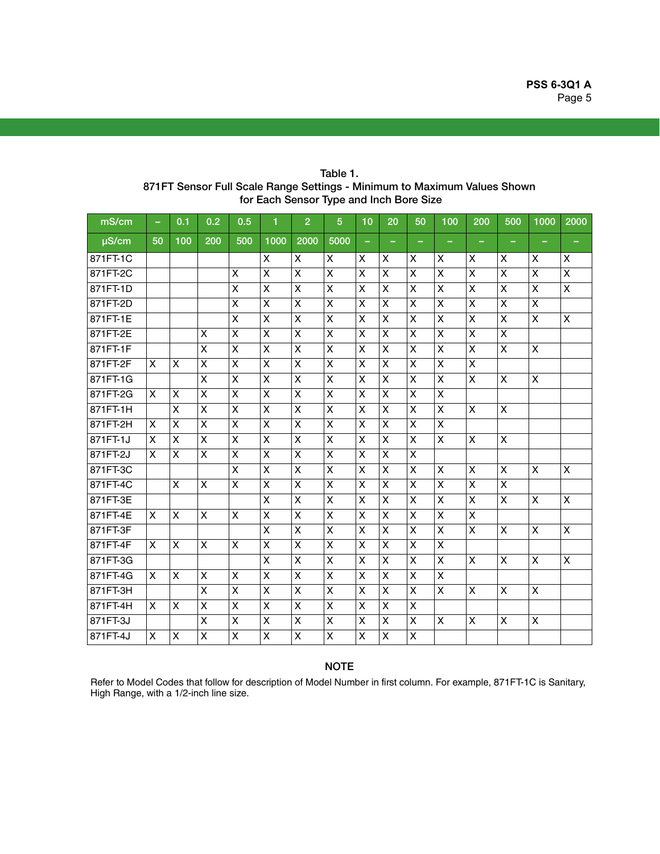| mS/cm      | $\overline{\phantom{0}}$ | 0.1 | 0.2 | 0.5 | 1                       | $\overline{2}$            | $5\phantom{1}$     | 10                        | 20                        | 50             | 100            | 200            | 500                       | 1000 | 2000               |
|------------|--------------------------|-----|-----|-----|-------------------------|---------------------------|--------------------|---------------------------|---------------------------|----------------|----------------|----------------|---------------------------|------|--------------------|
| $\mu$ S/cm | 50                       | 100 | 200 | 500 | 1000                    | 2000                      | 5000               | ۰                         |                           | ۰              | ۰              |                |                           | -    |                    |
| 871FT-1C   |                          |     |     |     | X                       | X                         | X                  | X                         | X                         | X              | X              | X              | X                         | X    | X                  |
| 871FT-2C   |                          |     |     | X   | $\mathsf{X}$            | X                         | X                  | X                         | X                         | X              | X              | X              | $\pmb{\times}$            | X    | $\pmb{\times}$     |
| 871FT-1D   |                          |     |     | X   | X                       | $\mathsf{x}$              | $\pmb{\times}$     | X                         | $\pmb{\times}$            | X              | X              | $\pmb{\times}$ | $\pmb{\times}$            | X    | X                  |
| 871FT-2D   |                          |     |     | X   | X                       | X                         | X                  | X                         | X                         | X              | X              | X              | X                         | X    |                    |
| 871FT-1E   |                          |     |     | X   | X                       | X                         | X                  | X                         | X                         | X              | X              | X              | $\pmb{\times}$            | X    | X                  |
| 871FT-2E   |                          |     | X   | X   | X                       | X                         | X                  | X                         | X                         | X              | X              | X              | $\mathsf{X}$              |      |                    |
| 871FT-1F   |                          |     | X   | X   | X                       | X                         | X                  | X                         | X                         | X              | X              | X              | $\mathsf{X}$              | X    |                    |
| 871FT-2F   | X                        | X   | X   | X   | X                       | X                         | $\pmb{\mathsf{X}}$ | X                         | $\pmb{\times}$            | $\pmb{\times}$ | X              | $\pmb{\times}$ |                           |      |                    |
| 871FT-1G   |                          |     | X   | X   | X                       | X                         | X                  | X                         | X                         | X              | X              | X              | X                         | X    |                    |
| 871FT-2G   | $\mathsf{x}$             | X   | X   | X   | X                       | $\boldsymbol{\mathsf{x}}$ | X                  | X                         | X                         | X              | X              |                |                           |      |                    |
| 871FT-1H   |                          | X   | X   | X   | X                       | X                         | X                  | X                         | $\pmb{\times}$            | X              | X              | X              | $\boldsymbol{\mathsf{X}}$ |      |                    |
| 871FT-2H   | X                        | X   | X   | X   | $\pmb{\mathsf{X}}$      | X                         | X                  | X                         | X                         | X              | $\pmb{\times}$ |                |                           |      |                    |
| 871FT-1J   | X                        | X   | X   | X   | X                       | X                         | $\mathsf{X}$       | X                         | $\pmb{\times}$            | $\pmb{\times}$ | X              | X              | $\pmb{\times}$            |      |                    |
| 871FT-2J   | X                        | X   | X   | X   | X                       | X                         | X                  | X                         | X                         | X              |                |                |                           |      |                    |
| 871FT-3C   |                          |     |     | X   | X                       | X                         | $\pmb{\mathsf{X}}$ | $\boldsymbol{\mathsf{X}}$ | $\boldsymbol{\mathsf{x}}$ | $\pmb{\times}$ | $\pmb{\times}$ | X              | $\mathsf{X}$              | X    | $\pmb{\times}$     |
| 871FT-4C   |                          | X   | X   | X   | X                       | X                         | X                  | X                         | X                         | X              | X              | X              | $\pmb{\times}$            |      |                    |
| 871FT-3E   |                          |     |     |     | Χ                       | X                         | X                  | X                         | X                         | X              | X              | $\pmb{\times}$ | $\pmb{\times}$            | X    | $\pmb{\times}$     |
| 871FT-4E   | X                        | X   | X   | X   | X                       | X                         | $\pmb{\times}$     | X                         | X                         | $\pmb{\times}$ | X              | X              |                           |      |                    |
| 871FT-3F   |                          |     |     |     | X                       | X                         | X                  | X                         | X                         | X              | X              | X              | X                         | X    | X                  |
| 871FT-4F   | X                        | X   | X   | X   | $\overline{\mathsf{x}}$ | X                         | $\mathsf{X}$       | X                         | X                         | X              | X              |                |                           |      |                    |
| 871FT-3G   |                          |     |     |     | X                       | X                         | X                  | X                         | X                         | X              | X              | X              | X                         | X    | $\pmb{\mathsf{X}}$ |
| 871FT-4G   | X                        | X   | X   | X   | $\pmb{\times}$          | X                         | X                  | X                         | X                         | X              | $\pmb{\times}$ |                |                           |      |                    |
| 871FT-3H   |                          |     | X   | X   | X                       | X                         | X                  | X                         | X                         | X              | X              | X              | $\pmb{\times}$            | X    |                    |
| 871FT-4H   | X                        | X   | X   | X   | X                       | X                         | X                  | X                         | X                         | X              |                |                |                           |      |                    |
| 871FT-3J   |                          |     | X   | X   | X                       | X                         | $\mathsf{X}$       | X                         | X                         | X              | X              | X              | $\pmb{\times}$            | X    |                    |
| 871FT-4J   | X                        | X   | X   | X   | Χ                       | X                         | X                  | X                         | X                         | X              |                |                |                           |      |                    |

Table 1. 871FT Sensor Full Scale Range Settings - Minimum to Maximum Values Shown for Each Sensor Type and Inch Bore Size

# **NOTE**

Refer to Model Codes that follow for description of Model Number in first column. For example, 871FT-1C is Sanitary, High Range, with a 1/2-inch line size.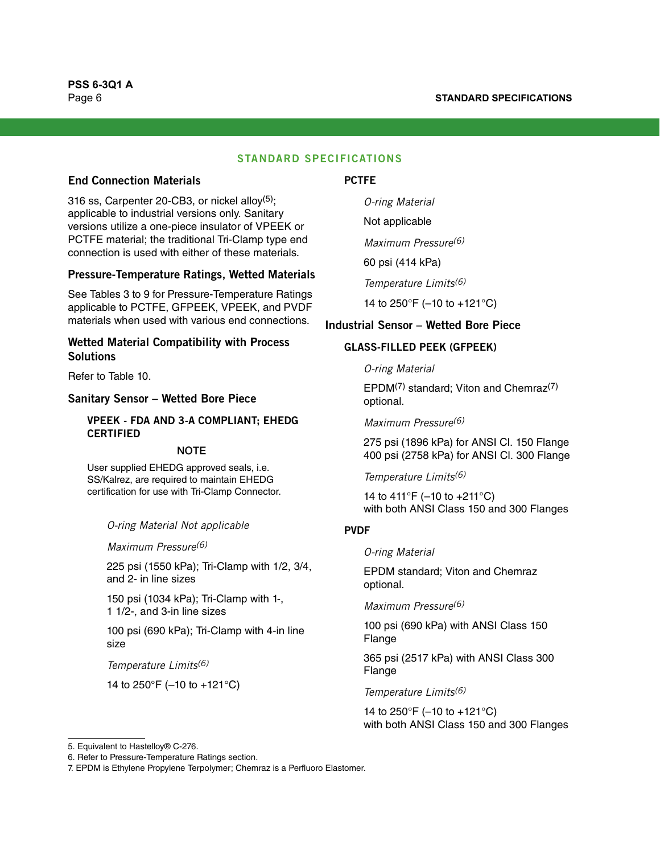#### **STANDARD SPECIFICATIONS**

## **End Connection Materials**

316 ss, Carpenter 20-CB3, or nickel alloy $(5)$ ; applicable to industrial versions only. Sanitary versions utilize a one-piece insulator of VPEEK or PCTFE material; the traditional Tri-Clamp type end connection is used with either of these materials.

#### **Pressure-Temperature Ratings, Wetted Materials**

See Tables 3 to 9 for Pressure-Temperature Ratings applicable to PCTFE, GFPEEK, VPEEK, and PVDF materials when used with various end connections.

#### **Wetted Material Compatibility with Process Solutions**

Refer to Table 10.

#### **Sanitary Sensor – Wetted Bore Piece**

### **VPEEK - FDA AND 3-A COMPLIANT; EHEDG CERTIFIED**

#### **NOTE**

User supplied EHEDG approved seals, i.e. SS/Kalrez, are required to maintain EHEDG certification for use with Tri-Clamp Connector.

 $\sigma$ -ring Material Note

Maximum Pressure<sup>(6)</sup>

225 psi (1550 kPa); Tri-Clamp with 1/2, 3/4, and 2- in line sizes

150 psi (1034 kPa); Tri-Clamp with 1-, 1 1/2-, and 3-in line sizes

100 psi (690 kPa); Tri-Clamp with 4-in line size

Temperature Limits<sup>[\(6\)](#page-5-0)</sup>

14 to 250°F (–10 to +121°C)

#### **PCTFE**

O-ring Material

Not applicable

Maximum Pressure<sup>[\(6\)](#page-5-0)</sup>

60 psi (414 kPa)

Temperature Limits[\(6\)](#page-5-0)

14 to 250°F (–10 to +121°C)

#### **Industrial Sensor – Wetted Bore Piece**

#### **GLASS-FILLED PEEK (GFPEEK)**

O-ring Material

EPDM(7) standard; Viton and Chemra[z\(7\)](#page-5-1) optional.

Maximum Pressure<sup>[\(6\)](#page-5-0)</sup>

275 psi (1896 kPa) for ANSI Cl. 150 Flange 400 psi (2758 kPa) for ANSI Cl. 300 Flange

Temperature Limits[\(6\)](#page-5-0)

14 to 411°F (–10 to +211°C) with both ANSI Class 150 and 300 Flanges

# **PVDF**

O-ring Material

EPDM standard; Viton and Chemraz optional.

Maximum Pressure<sup>[\(6\)](#page-5-0)</sup>

100 psi (690 kPa) with ANSI Class 150 Flange

365 psi (2517 kPa) with ANSI Class 300 Flange

Temperature Limits<sup>[\(6\)](#page-5-0)</sup>

14 to 250°F (–10 to +121°C) with both ANSI Class 150 and 300 Flanges

<sup>5.</sup> Equivalent to Hastelloy® C-276.

<span id="page-5-0"></span><sup>6.</sup> Refer to Pressure-Temperature Ratings section.

<span id="page-5-1"></span><sup>7.</sup> EPDM is Ethylene Propylene Terpolymer; Chemraz is a Perfluoro Elastomer.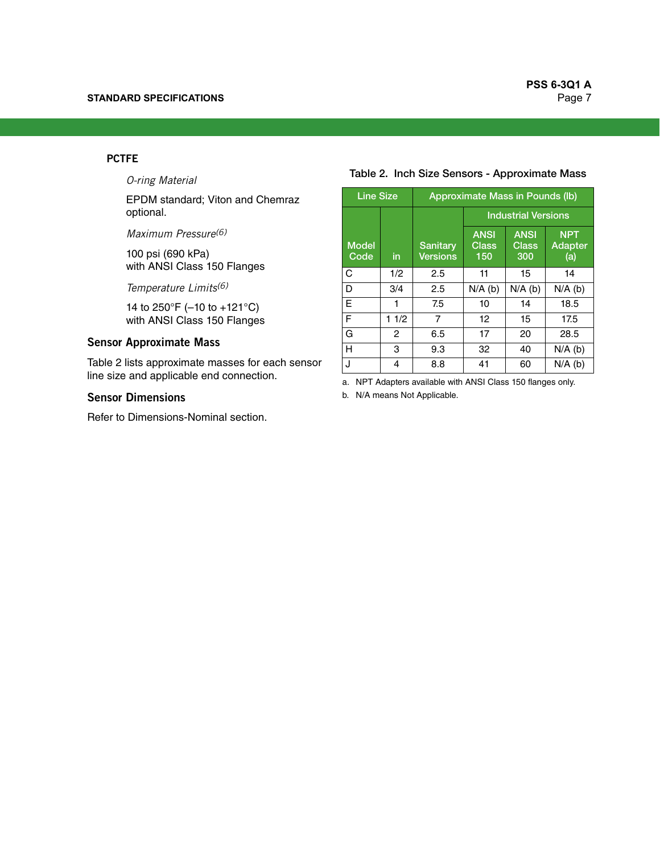#### **PCTFE**

O-ring Material

EPDM standard; Viton and Chemraz optional.

Maximum Pressure[\(6\)](#page-5-0)

100 psi (690 kPa) with ANSI Class 150 Flanges

Temperature Limits[\(6\)](#page-5-0)

14 to 250°F (–10 to +121°C) with ANSI Class 150 Flanges

# **Sensor Approximate Mass**

Table 2 lists approximate masses for each sensor line size and applicable end connection.

#### **Sensor Dimensions**

Refer to Dimensions-Nominal section.

#### Table 2. Inch Size Sensors - Approximate Mass

| <b>Line Size</b>     |      | <b>Approximate Mass in Pounds (lb)</b> |                                    |                                    |                              |  |  |  |  |
|----------------------|------|----------------------------------------|------------------------------------|------------------------------------|------------------------------|--|--|--|--|
|                      |      |                                        | <b>Industrial Versions</b>         |                                    |                              |  |  |  |  |
| <b>Model</b><br>Code | in   | <b>Sanitary</b><br><b>Versions</b>     | <b>ANSI</b><br><b>Class</b><br>150 | <b>ANSI</b><br><b>Class</b><br>300 | <b>NPT</b><br>Adapter<br>(a) |  |  |  |  |
| C                    | 1/2  | 2.5                                    | 11                                 | 15                                 | 14                           |  |  |  |  |
| D                    | 3/4  | 2.5                                    | $N/A$ (b)                          | $N/A$ (b)                          | $N/A$ (b)                    |  |  |  |  |
| E                    | 1    | 7.5                                    | 10                                 | 14                                 | 18.5                         |  |  |  |  |
| F                    | 11/2 | 7                                      | 12 <sup>2</sup>                    | 15                                 | 17.5                         |  |  |  |  |
| G                    | 2    | 6.5                                    | 17                                 | 20                                 | 28.5                         |  |  |  |  |
| н                    | 3    | 9.3                                    | 32                                 | 40                                 | $N/A$ (b)                    |  |  |  |  |
| J                    | 4    | 8.8                                    | 41                                 | 60                                 | $N/A$ (b)                    |  |  |  |  |

a. NPT Adapters available with ANSI Class 150 flanges only.

<span id="page-6-0"></span>b. N/A means Not Applicable.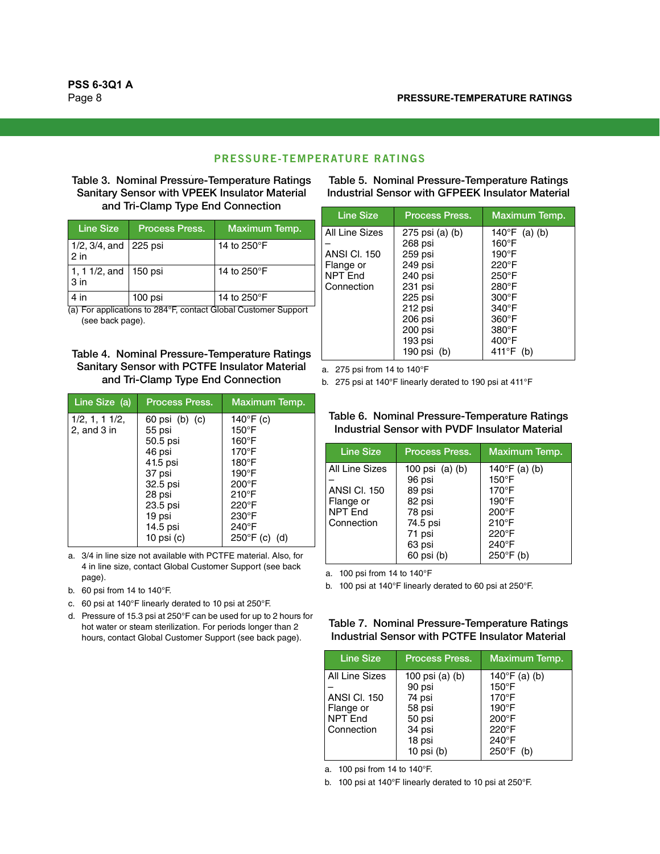#### **PRESSURE-TEMPERATURE RATINGS**

#### Table 3. Nominal Pressure-Temperature Ratings Sanitary Sensor with VPEEK Insulator Material and Tri-Clamp Type End Connection

| Line Size                                  | <b>Process Press.</b> | <b>Maximum Temp.</b> |
|--------------------------------------------|-----------------------|----------------------|
| $1/2$ , $3/4$ , and 225 psi<br>$2$ in      |                       | 14 to 250°F          |
| 1, 1 1/2, and   150 psi<br>3 <sub>in</sub> |                       | 14 to 250°F          |
| $4$ in                                     | 100 psi               | 14 to 250°F          |

(a) For applications to 284°F, contact Global Customer Support (see back page).

#### Table 4. Nominal Pressure-Temperature Ratings Sanitary Sensor with PCTFE Insulator Material and Tri-Clamp Type End Connection

| Line Size (a)                | <b>Process Press.</b>                                                                                                                        | Maximum Temp.                                                                                                                                                                                                                     |
|------------------------------|----------------------------------------------------------------------------------------------------------------------------------------------|-----------------------------------------------------------------------------------------------------------------------------------------------------------------------------------------------------------------------------------|
| 1/2, 1, 11/2,<br>2, and 3 in | 60 psi (b) (c)<br>55 psi<br>50.5 psi<br>46 psi<br>41.5 psi<br>37 psi<br>32.5 psi<br>28 psi<br>23.5 psi<br>19 psi<br>14.5 psi<br>10 psi $(c)$ | 140 $\degree$ F (c)<br>$150^{\circ}$ F<br>$160^\circ$ F<br>$170^\circ F$<br>$180^\circ$ F<br>$190^\circ$ F<br>$200^{\circ}$ F<br>$210^{\circ}$ F<br>$220^{\circ}$ F<br>$230^\circ F$<br>$240^{\circ}$ F<br>$250^{\circ}F$ (c) (d) |

a. 3/4 in line size not available with PCTFE material. Also, for 4 in line size, contact Global Customer Support (see back page).

- b. 60 psi from 14 to 140°F.
- <span id="page-7-1"></span>c. 60 psi at 140°F linearly derated to 10 psi at 250°F.
- d. Pressure of 15.3 psi at 250°F can be used for up to 2 hours for hot water or steam sterilization. For periods longer than 2 hours, contact Global Customer Support (see back page).

Table 5. Nominal Pressure-Temperature Ratings Industrial Sensor with GFPEEK Insulator Material

| Line Size                                                                          | <b>Process Press.</b>                                                                                                                          | Maximum Temp.                                                                                                                                                                              |
|------------------------------------------------------------------------------------|------------------------------------------------------------------------------------------------------------------------------------------------|--------------------------------------------------------------------------------------------------------------------------------------------------------------------------------------------|
| All Line Sizes<br><b>ANSI CI. 150</b><br>Flange or<br><b>NPT End</b><br>Connection | 275 psi (a) (b)<br>268 psi<br>259 psi<br>249 psi<br>240 psi<br>231 psi<br>$225$ psi<br>212 psi<br>206 psi<br>200 psi<br>193 psi<br>190 psi (b) | 140°F (a) (b)<br>$160^{\circ}$ F<br>$190^\circ$ F<br>220°F<br>$250^{\circ}$ F<br>$280^\circ$ F<br>$300^\circ F$<br>$340^\circ$ F<br>$360^\circ F$<br>380°F<br>$400^{\circ}$ F<br>411°F (b) |

<span id="page-7-2"></span>a. 275 psi from 14 to 140°F

<span id="page-7-0"></span>b. 275 psi at 140°F linearly derated to 190 psi at 411°F

#### Table 6. Nominal Pressure-Temperature Ratings Industrial Sensor with PVDF Insulator Material

| <b>Line Size</b>                                                                   | <b>Process Press.</b>                                                                                 | Maximum Temp.                                                                                                                                                   |
|------------------------------------------------------------------------------------|-------------------------------------------------------------------------------------------------------|-----------------------------------------------------------------------------------------------------------------------------------------------------------------|
| All Line Sizes<br><b>ANSI CI. 150</b><br>Flange or<br><b>NPT End</b><br>Connection | 100 psi (a) (b)<br>96 psi<br>89 psi<br>82 psi<br>78 psi<br>74.5 psi<br>71 psi<br>63 psi<br>60 psi (b) | 140 $\degree$ F (a) (b)<br>$150^\circ F$<br>$170^\circ F$<br>$190^\circ F$<br>$200^\circ F$<br>$210^{\circ}$ F<br>$220^\circ F$<br>240°F<br>$250^{\circ}$ F (b) |

<span id="page-7-5"></span>a. 100 psi from 14 to 140°F

<span id="page-7-3"></span>b. 100 psi at 140°F linearly derated to 60 psi at 250°F.

#### Table 7. Nominal Pressure-Temperature Ratings Industrial Sensor with PCTFE Insulator Material

| <b>Line Size</b>    | <b>Process Press.</b> | Maximum Temp.           |
|---------------------|-----------------------|-------------------------|
| All Line Sizes      | 100 psi (a) (b)       | 140 $\degree$ F (a) (b) |
|                     | 90 psi                | $150^{\circ}$ F         |
| <b>ANSI CI. 150</b> | 74 psi                | $170^\circ F$           |
| Flange or           | 58 psi                | $190^\circ F$           |
| NPT End             | 50 psi                | 200°F                   |
| Connection          | 34 psi                | 220°F                   |
|                     | 18 psi                | 240°F                   |
|                     | 10 psi $(b)$          | $250^{\circ}$ F (b)     |

<span id="page-7-4"></span>a. 100 psi from 14 to 140°F.

b. 100 psi at 140°F linearly derated to 10 psi at 250°F.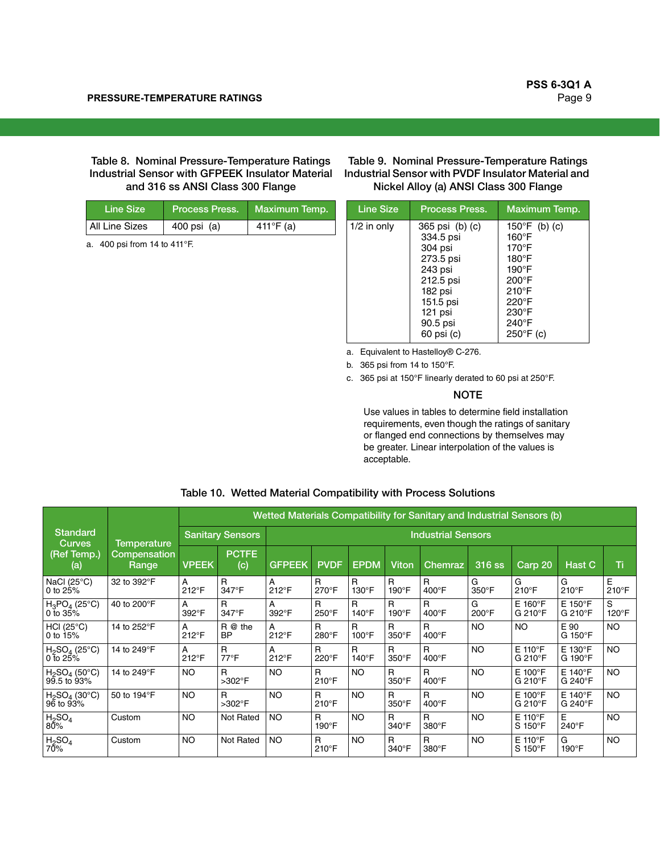Table 8. Nominal Pressure-Temperature Ratings Industrial Sensor with GFPEEK Insulator Material and 316 ss ANSI Class 300 Flange

| Line Size      | <b>Process Press.</b> | <sup>'</sup> Maximum Temp. |
|----------------|-----------------------|----------------------------|
| All Line Sizes | 400 psi (a)           | 411°F (a)                  |

<span id="page-8-0"></span>a. 400 psi from 14 to 411°F.

Table 9. Nominal Pressure-Temperature Ratings Industrial Sensor with PVDF Insulator Material and Nickel Alloy (a) ANSI Class 300 Flange

| <b>Line Size</b> | <b>Process Press.</b>                                                                                                                       | Maximum Temp.                                                                                                                                                                                 |
|------------------|---------------------------------------------------------------------------------------------------------------------------------------------|-----------------------------------------------------------------------------------------------------------------------------------------------------------------------------------------------|
| $1/2$ in only    | 365 psi (b) (c)<br>334.5 psi<br>304 psi<br>273.5 psi<br>243 psi<br>212.5 psi<br>182 psi<br>151.5 psi<br>$121$ psi<br>90.5 psi<br>60 psi (c) | 150 $\degree$ F (b) (c)<br>$160^{\circ}$ F<br>$170^\circ F$<br>$180^\circ F$<br>$190^\circ F$<br>$200^{\circ}$ F<br>$210^{\circ}$ F<br>$220^\circ F$<br>230°F<br>240°F<br>$250^{\circ}$ F (c) |

a. Equivalent to Hastelloy® C-276.

<span id="page-8-1"></span>b. 365 psi from 14 to 150°F.

<span id="page-8-2"></span>c. 365 psi at 150°F linearly derated to 60 psi at 250°F.

# **NOTE**

Use values in tables to determine field installation requirements, even though the ratings of sanitary or flanged end connections by themselves may be greater. Linear interpolation of the values is acceptable.

|  |  |  | Table 10. Wetted Material Compatibility with Process Solutions |
|--|--|--|----------------------------------------------------------------|
|--|--|--|----------------------------------------------------------------|

|                                                        |                       |                         | Wetted Materials Compatibility for Sanitary and Industrial Sensors (b) |                           |                               |                    |                               |            |            |                                |                                |            |  |
|--------------------------------------------------------|-----------------------|-------------------------|------------------------------------------------------------------------|---------------------------|-------------------------------|--------------------|-------------------------------|------------|------------|--------------------------------|--------------------------------|------------|--|
| <b>Standard</b><br><b>Curves</b><br>(Ref Temp.)<br>(a) | Temperature           | <b>Sanitary Sensors</b> |                                                                        | <b>Industrial Sensors</b> |                               |                    |                               |            |            |                                |                                |            |  |
|                                                        | Compensation<br>Range | <b>VPEEK</b>            | <b>PCTFE</b><br>(c)                                                    | <b>GFPEEK</b>             | <b>PVDF</b>                   | <b>EPDM</b>        | Viton                         | Chemraz    | 316 ss     | Carp 20                        | <u> H</u> ast C                | Ti         |  |
| NaCl $(25^{\circ}C)$<br>0 to $25%$                     | 32 to 392°F           | A<br>212°F              | R<br>347°F                                                             | A<br>$212^{\circ}F$       | $\mathsf{R}$<br>$270^\circ F$ | R<br>$130^\circ F$ | $\mathsf{R}$<br>190°F         | R<br>400°F | G<br>350°F | G<br>$210^{\circ}$ F           | G<br>$210^{\circ}$ F           | E<br>210°F |  |
| $H_3PO_4(25°C)$<br>0 to $35%$                          | 40 to 200°F           | A<br>392°F              | R<br>347°F                                                             | A<br>392°F                | $\mathsf{R}$<br>250°F         | R<br>$140^\circ F$ | R<br>190°F                    | R<br>400°F | G<br>200°F | $E$ 160 $\degree$ F<br>G 210°F | E 150°F<br>G 210°F             | S<br>120°F |  |
| HCl (25°C)<br>0 to 15%                                 | 14 to 252°F           | А<br>212°F              | R @ the<br><b>BP</b>                                                   | A<br>212°F                | R<br>280°F                    | R<br>100°F         | R<br>350°F                    | R<br>400°F | <b>NO</b>  | <b>NO</b>                      | E 90<br>G 150°F                | NO.        |  |
| $H_2SO_4$ (25°C)<br>$0$ to 25%                         | 14 to 249°F           | А<br>$212^{\circ}F$     | R<br>$77^{\circ}$ F                                                    | A<br>212°F                | R<br>220°F                    | R<br>$140^\circ$ F | R<br>350°F                    | R<br>400°F | <b>NO</b>  | $E$ 110 $\degree$ F<br>G 210°F | E 130°F<br>G 190°F             | <b>NO</b>  |  |
| $H_2SO_4$ (50°C)<br>99.5 to 93%                        | 14 to 249°F           | NO.                     | R<br>$>302^\circ F$                                                    | <b>NO</b>                 | R<br>$210^{\circ}$ F          | <b>NO</b>          | $\mathsf{R}$<br>$350^\circ F$ | R<br>400°F | <b>NO</b>  | $E$ 100 $\degree$ F<br>G 210°F | $E$ 140 $\degree$ F<br>G 240°F | <b>NO</b>  |  |
| $H_2SO_4$ (30°C)<br>$96$ to $93%$                      | 50 to 194°F           | <b>NO</b>               | R<br>>302°F                                                            | <b>NO</b>                 | R<br>$210^{\circ}$ F          | <b>NO</b>          | R<br>350°F                    | R<br>400°F | <b>NO</b>  | $E$ 100 $\degree$ F<br>G 210°F | $E$ 140 $\degree$ F<br>G 240°F | <b>NO</b>  |  |
| H <sub>2</sub> SO <sub>4</sub><br>80%                  | Custom                | <b>NO</b>               | Not Rated                                                              | <b>NO</b>                 | R<br>$190^\circ F$            | <b>NO</b>          | $\mathsf{R}$<br>340°F         | R<br>380°F | <b>NO</b>  | $E$ 110 $\degree$ F<br>S 150°F | E<br>240°F                     | <b>NO</b>  |  |
| H <sub>2</sub> SO <sub>4</sub><br>70%                  | Custom                | NO.                     | Not Rated                                                              | <b>NO</b>                 | R<br>$210^{\circ}$ F          | <b>NO</b>          | R<br>340°F                    | R<br>380°F | <b>NO</b>  | $E$ 110 $\degree$ F<br>S 150°F | G<br>190°F                     | <b>NO</b>  |  |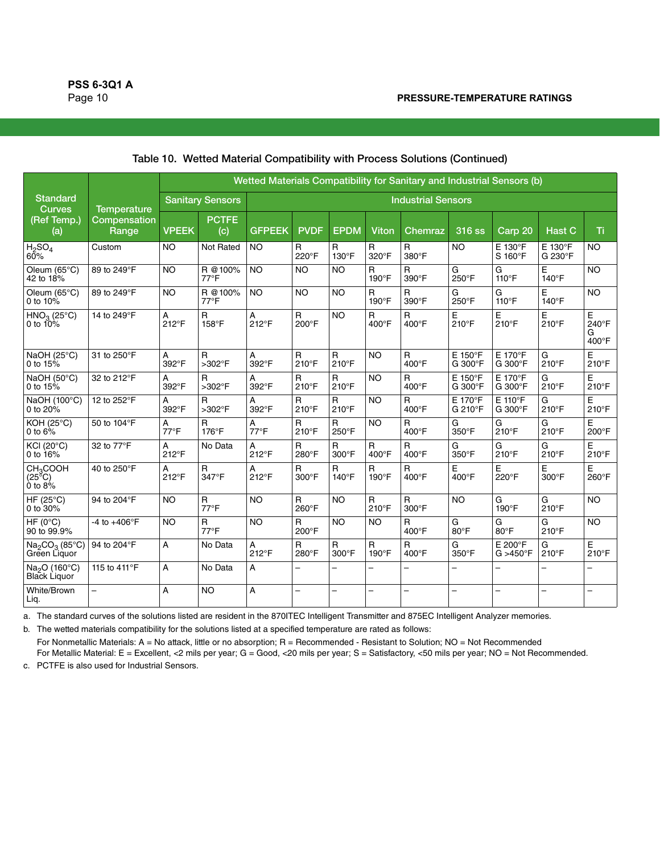|                                                             |                          | Wetted Materials Compatibility for Sanitary and Industrial Sensors (b) |                                |                           |                               |                               |                          |                               |                          |                              |                          |                          |  |
|-------------------------------------------------------------|--------------------------|------------------------------------------------------------------------|--------------------------------|---------------------------|-------------------------------|-------------------------------|--------------------------|-------------------------------|--------------------------|------------------------------|--------------------------|--------------------------|--|
| <b>Standard</b><br><b>Curves</b>                            | <b>Temperature</b>       | <b>Sanitary Sensors</b>                                                |                                | <b>Industrial Sensors</b> |                               |                               |                          |                               |                          |                              |                          |                          |  |
| (Ref Temp.)<br>(a)                                          | Compensation<br>Range    | <b>VPEEK</b>                                                           | <b>PCTFE</b><br>(c)            | <b>GFPEEK</b>             | <b>PVDF</b>                   | <b>EPDM</b>                   | Viton                    | Chemraz                       | 316 ss                   | Carp 20                      | <b>Hast C</b>            | Τï                       |  |
| H <sub>2</sub> SO <sub>4</sub><br>60%                       | Custom                   | <b>NO</b>                                                              | Not Rated                      | <b>NO</b>                 | $\mathsf{R}$<br>220°F         | $\mathsf{R}$<br>130°F         | R<br>320°F               | $\mathsf{R}$<br>380°F         | <b>NO</b>                | E 130°F<br>S 160°F           | E 130°F<br>G 230°F       | <b>NO</b>                |  |
| Oleum (65°C)<br>42 to 18%                                   | 89 to 249°F              | <b>NO</b>                                                              | R @100%<br>$77^{\circ}$ F      | <b>NO</b>                 | <b>NO</b>                     | <b>NO</b>                     | $\mathsf{R}$<br>190°F    | $\mathsf{R}$<br>390°F         | G<br>250°F               | G<br>110°F                   | E<br>$140^\circ F$       | <b>NO</b>                |  |
| Oleum $(65^{\circ}C)$<br>0 to $10\%$                        | 89 to 249°F              | <b>NO</b>                                                              | R @100%<br>$77^{\circ}F$       | <b>NO</b>                 | <b>NO</b>                     | <b>NO</b>                     | R<br>$190^\circ F$       | R<br>390°F                    | G<br>250°F               | G<br>$110^{\circ}$ F         | E<br>$140^\circ F$       | <b>NO</b>                |  |
| $HNO3 (25°C)$<br>0 to 10%                                   | 14 to 249°F              | Α<br>212°F                                                             | R<br>158°F                     | А<br>212°F                | $\mathsf{R}$<br>$200^\circ F$ | <b>NO</b>                     | $\mathsf{R}$<br>400°F    | R<br>$400^{\circ}$ F          | Е<br>$210^{\circ}$ F     | Е<br>210°F                   | Ε<br>$210^{\circ}F$      | E<br>240°F<br>G<br>400°F |  |
| NaOH $(25^{\circ}C)$<br>0 to $15%$                          | 31 to 250°F              | A<br>392°F                                                             | $\mathsf{R}$<br>>302°F         | А<br>392°F                | $\mathsf{R}$<br>210°F         | $\mathsf{R}$<br>210°F         | <b>NO</b>                | $\mathsf{R}$<br>400°F         | E 150°F<br>G 300°F       | E 170°F<br>G 300°F           | G<br>210°F               | E<br>$210^{\circ}$ F     |  |
| NaOH (50°C)<br>0 to $15%$                                   | 32 to 212°F              | A<br>392°F                                                             | R<br>>302°F                    | A<br>392°F                | $\mathsf{R}$<br>210°F         | $\mathsf{R}$<br>210°F         | <b>NO</b>                | R<br>400°F                    | E 150°F<br>G 300°F       | E 170°F<br>G 300°F           | G<br>210°F               | E<br>$210^{\circ}F$      |  |
| NaOH (100°C)<br>0 to $20%$                                  | 12 to 252°F              | А<br>392°F                                                             | R<br>>302°F                    | A<br>392°F                | $\mathsf{R}$<br>210°F         | $\mathsf{R}$<br>210°F         | <b>NO</b>                | $\mathsf{R}$<br>400°F         | E 170°F<br>G 210°F       | $E$ 110°F<br>G 300°F         | G<br>210°F               | E<br>$210^{\circ}F$      |  |
| <b>KOH (25°C)</b><br>0 to $6\%$                             | 50 to 104°F              | A<br>$77^{\circ}$ F                                                    | $\mathsf{R}$<br>$176^\circ F$  | А<br>$77^{\circ}F$        | $\mathsf{R}$<br>210°F         | $\mathsf{R}$<br>250°F         | <b>NO</b>                | $\mathsf{R}$<br>400°F         | G<br>350°F               | G<br>210°F                   | G<br>210°F               | E<br>200°F               |  |
| <b>KCI (20°C)</b><br>0 to $16%$                             | 32 to 77°F               | А<br>212°F                                                             | No Data                        | А<br>212°F                | $\mathsf{R}$<br>280°F         | $\mathsf{R}$<br>300°F         | $\mathsf{R}$<br>400°F    | R<br>400°F                    | G<br>350°F               | G<br>210°F                   | G<br>210°F               | E<br>$210^{\circ}$ F     |  |
| CH <sub>3</sub> COOH<br>(25 <sup>8</sup> C)<br>$0$ to $8\%$ | 40 to 250°F              | А<br>212°F                                                             | R<br>347°F                     | А<br>212°F                | $\mathsf{R}$<br>$300^\circ F$ | $\mathsf{R}$<br>$140^\circ F$ | R<br>190°F               | R<br>$400^{\circ}$ F          | E<br>400°F               | E<br>220°F                   | E<br>$300^\circ F$       | E<br>260°F               |  |
| HF $(25^{\circ}C)$<br>0 to $30%$                            | 94 to 204°F              | <b>NO</b>                                                              | $\mathsf{R}$<br>$77^{\circ}F$  | <b>NO</b>                 | $\mathsf{R}$<br>$260^\circ F$ | <b>NO</b>                     | R<br>$210^\circ F$       | $\mathsf{R}$<br>$300^\circ F$ | <b>NO</b>                | G<br>190°F                   | G<br>$210^{\circ}$ F     | <b>NO</b>                |  |
| $HF (0^{\circ}C)$<br>90 to 99.9%                            | $-4$ to $+406^{\circ}$ F | <b>NO</b>                                                              | $\mathsf{R}$<br>$77^{\circ}$ F | <b>NO</b>                 | $\mathsf{R}$<br>200°F         | <b>NO</b>                     | <b>NO</b>                | R<br>400°F                    | G<br>80°F                | G<br>80°F                    | G<br>210°F               | <b>NO</b>                |  |
| $Na2CO3$ (85°C)<br>Green Liquor                             | 94 to 204°F              | A                                                                      | No Data                        | A<br>212°F                | $\mathsf{R}$<br>280°F         | $\mathsf{R}$<br>300°F         | $\mathsf{R}$<br>190°F    | $\mathsf{R}$<br>400°F         | G<br>350°F               | E 200°F<br>$G > 450^\circ F$ | G<br>210°F               | E<br>210°F               |  |
| Na <sub>2</sub> O (160°C)<br>Black Liquor                   | 115 to 411°F             | A                                                                      | No Data                        | А                         | $\equiv$                      | $\overline{\phantom{0}}$      | -                        | $\overline{\phantom{0}}$      | $\overline{\phantom{0}}$ | $\overline{\phantom{0}}$     |                          | $\overline{\phantom{0}}$ |  |
| White/Brown<br>Liq.                                         | $\overline{\phantom{0}}$ | A                                                                      | <b>NO</b>                      | А                         | $\overline{\phantom{0}}$      | $\overline{\phantom{0}}$      | $\overline{\phantom{0}}$ | $\overline{\phantom{0}}$      | -                        | $\overline{\phantom{0}}$     | $\overline{\phantom{0}}$ | $\overline{\phantom{0}}$ |  |

#### Table 10. Wetted Material Compatibility with Process Solutions (Continued)

a. The standard curves of the solutions listed are resident in the 870ITEC Intelligent Transmitter and 875EC Intelligent Analyzer memories.

b. The wetted materials compatibility for the solutions listed at a specified temperature are rated as follows:

For Nonmetallic Materials: A = No attack, little or no absorption; R = Recommended - Resistant to Solution; NO = Not Recommended For Metallic Material: E = Excellent, <2 mils per year; G = Good, <20 mils per year; S = Satisfactory, <50 mils per year; NO = Not Recommended.

c. PCTFE is also used for Industrial Sensors.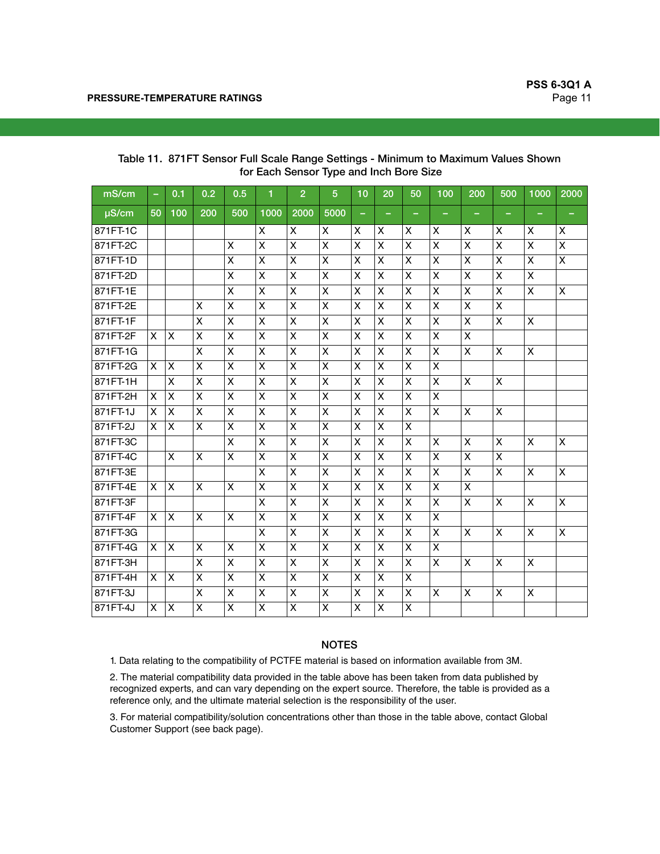| mS/cm      | $\overline{\phantom{a}}$ | 0.1            | 0.2            | 0.5            | 1                       | $\overline{2}$ | $\overline{5}$          | 10             | 20             | 50                      | 100                       | 200                     | 500            | 1000               | 2000                    |
|------------|--------------------------|----------------|----------------|----------------|-------------------------|----------------|-------------------------|----------------|----------------|-------------------------|---------------------------|-------------------------|----------------|--------------------|-------------------------|
| $\mu$ S/cm | 50                       | 100            | 200            | 500            | 1000                    | 2000           | 5000                    |                |                |                         |                           |                         |                |                    |                         |
| 871FT-1C   |                          |                |                |                | X                       | X              | X                       | X              | X              | X                       | X                         | X                       | X              | X                  | X                       |
| 871FT-2C   |                          |                |                | $\pmb{\times}$ | $\overline{\mathsf{x}}$ | X              | $\overline{\mathsf{x}}$ | X              | X              | $\overline{\mathsf{x}}$ | $\overline{X}$            | $\overline{\mathsf{x}}$ | X              | $\pmb{\times}$     | $\overline{\mathsf{x}}$ |
| 871FT-1D   |                          |                |                | X              | X                       | X              | X                       | X              | X              | X                       | X                         | X                       | X              | X                  | X                       |
| 871FT-2D   |                          |                |                | X              | X                       | X              | X                       | X              | X              | $\pmb{\mathsf{X}}$      | $\boldsymbol{\mathsf{x}}$ | X                       | X              | X                  |                         |
| 871FT-1E   |                          |                |                | X              | X                       | X              | X                       | X              | X              | X                       | $\overline{\mathsf{x}}$   | X                       | X              | X                  | X                       |
| 871FT-2E   |                          |                | X              | X              | X                       | X              | X                       | X              | X              | X                       | $\mathsf{x}$              | X                       | X              |                    |                         |
| 871FT-1F   |                          |                | X              | X              | X                       | X              | X                       | $\mathsf{X}$   | X              | X                       | X                         | X                       | X              | $\pmb{\times}$     |                         |
| 871FT-2F   | X                        | X              | X              | $\pmb{\times}$ | X                       | X              | X                       | $\pmb{\times}$ | X              | X                       | $\mathsf{x}$              | X                       |                |                    |                         |
| 871FT-1G   |                          |                | X              | X              | X                       | X              | X                       | X              | X              | X                       | $\mathsf{x}$              | X                       | X              | X                  |                         |
| 871FT-2G   | X                        | $\pmb{\times}$ | $\pmb{\times}$ | X              | X                       | X              | $\overline{\mathsf{X}}$ | $\pmb{\times}$ | $\pmb{\times}$ | X                       | $\mathsf{x}$              |                         |                |                    |                         |
| 871FT-1H   |                          | X              | X              | X              | X                       | X              | X                       | X              | X              | X                       | $\boldsymbol{\mathsf{x}}$ | X                       | X              |                    |                         |
| 871FT-2H   | X                        | X              | X              | X              | X                       | X              | X                       | $\pmb{\times}$ | X              | X                       | $\overline{\mathsf{x}}$   |                         |                |                    |                         |
| 871FT-1J   | X                        | X              | X              | X              | X                       | X              | X                       | X              | X              | X                       | $\mathsf{x}$              | X                       | X              |                    |                         |
| 871FT-2J   | X                        | X              | X              | X              | Χ                       | X              | X                       | X              | X              | X                       |                           |                         |                |                    |                         |
| 871FT-3C   |                          |                |                | $\mathsf{X}$   | X                       | $\pmb{\times}$ | X                       | $\pmb{\times}$ | X              | X                       | $\boldsymbol{\mathsf{x}}$ | X                       | $\pmb{\times}$ | $\pmb{\times}$     | X                       |
| 871FT-4C   |                          | X              | X              | X              | X                       | X              | X                       | X              | X              | X                       | X                         | X                       | X              |                    |                         |
| 871FT-3E   |                          |                |                |                | X                       | X              | X                       | $\pmb{\times}$ | X              | X                       | $\boldsymbol{\mathsf{x}}$ | X                       | X              | $\pmb{\mathsf{X}}$ | $\pmb{\mathsf{X}}$      |
| 871FT-4E   | X.                       | X              | X              | X              | X                       | X              | X                       | X              | X              | X                       | X                         | X                       |                |                    |                         |
| 871FT-3F   |                          |                |                |                | X                       | X              | X                       | X              | X              | $\pmb{\mathsf{X}}$      | $\pmb{\times}$            | X                       | X              | $\pmb{\mathsf{X}}$ | $\pmb{\mathsf{X}}$      |
| 871FT-4F   | X.                       | X              | X              | X              | X                       | X              | X                       | X              | X              | X                       | X                         |                         |                |                    |                         |
| 871FT-3G   |                          |                |                |                | X                       | X              | X                       | $\pmb{\times}$ | X              | X                       | X                         | X                       | X              | X                  | X                       |
| 871FT-4G   | X                        | X              | X              | X              | X                       | X              | X                       | X              | X              | X                       | X                         |                         |                |                    |                         |
| 871FT-3H   |                          |                | X              | X              | X                       | X              | X                       | $\pmb{\times}$ | X              | X                       | $\mathsf{x}$              | X                       | X              | X                  |                         |
| 871FT-4H   | X                        | X              | X              | X              | Χ                       | X              | Χ                       | X              | X              | X                       |                           |                         |                |                    |                         |
| 871FT-3J   |                          |                | X              | X              | Χ                       | X              | X                       | $\pmb{\times}$ | X              | X                       | X                         | X                       | X              | X                  |                         |
| 871FT-4J   | X                        | X              | X              | X              | X                       | X              | X                       | X              | Χ              | X                       |                           |                         |                |                    |                         |

Table 11. 871FT Sensor Full Scale Range Settings - Minimum to Maximum Values Shown for Each Sensor Type and Inch Bore Size

# NOTES

1. Data relating to the compatibility of PCTFE material is based on information available from 3M.

2. The material compatibility data provided in the table above has been taken from data published by recognized experts, and can vary depending on the expert source. Therefore, the table is provided as a reference only, and the ultimate material selection is the responsibility of the user.

3. For material compatibility/solution concentrations other than those in the table above, contact Global Customer Support (see back page).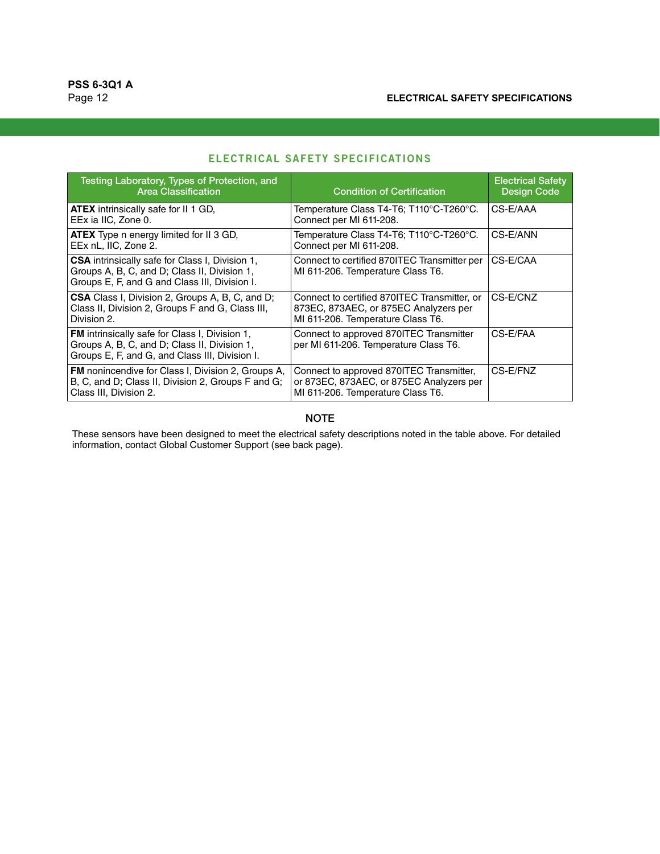| Testing Laboratory, Types of Protection, and<br><b>Area Classification</b>                                                                              | <b>Condition of Certification</b>                                                                                          | <b>Electrical Safety</b><br><b>Design Code</b> |
|---------------------------------------------------------------------------------------------------------------------------------------------------------|----------------------------------------------------------------------------------------------------------------------------|------------------------------------------------|
| <b>ATEX</b> intrinsically safe for II 1 GD,<br>EEx ia IIC, Zone 0.                                                                                      | Temperature Class T4-T6; T110°C-T260°C.<br>Connect per MI 611-208.                                                         | CS-E/AAA                                       |
| <b>ATEX</b> Type n energy limited for II 3 GD,<br>EEx nL, IIC, Zone 2.                                                                                  | Temperature Class T4-T6; T110°C-T260°C.<br>Connect per MI 611-208.                                                         | CS-E/ANN                                       |
| <b>CSA</b> intrinsically safe for Class I, Division 1,<br>Groups A, B, C, and D; Class II, Division 1,<br>Groups E, F, and G and Class III, Division I. | Connect to certified 870ITEC Transmitter per<br>MI 611-206. Temperature Class T6.                                          | CS-E/CAA                                       |
| <b>CSA</b> Class I, Division 2, Groups A, B, C, and D;<br>Class II, Division 2, Groups F and G, Class III,<br>Division 2.                               | Connect to certified 870ITEC Transmitter, or<br>873EC, 873AEC, or 875EC Analyzers per<br>MI 611-206. Temperature Class T6. | CS-E/CNZ                                       |
| FM intrinsically safe for Class I, Division 1,<br>Groups A, B, C, and D; Class II, Division 1,<br>Groups E, F, and G, and Class III, Division I.        | Connect to approved 870ITEC Transmitter<br>per MI 611-206. Temperature Class T6.                                           | CS-E/FAA                                       |
| FM nonincendive for Class I, Division 2, Groups A,<br>B, C, and D; Class II, Division 2, Groups F and G;<br>Class III, Division 2.                      | Connect to approved 870ITEC Transmitter,<br>or 873EC, 873AEC, or 875EC Analyzers per<br>MI 611-206. Temperature Class T6.  | CS-E/FNZ                                       |

# **ELECTRICAL SAFETY SPECIFICATIONS**

## **NOTE**

These sensors have been designed to meet the electrical safety descriptions noted in the table above. For detailed information, contact Global Customer Support (see back page).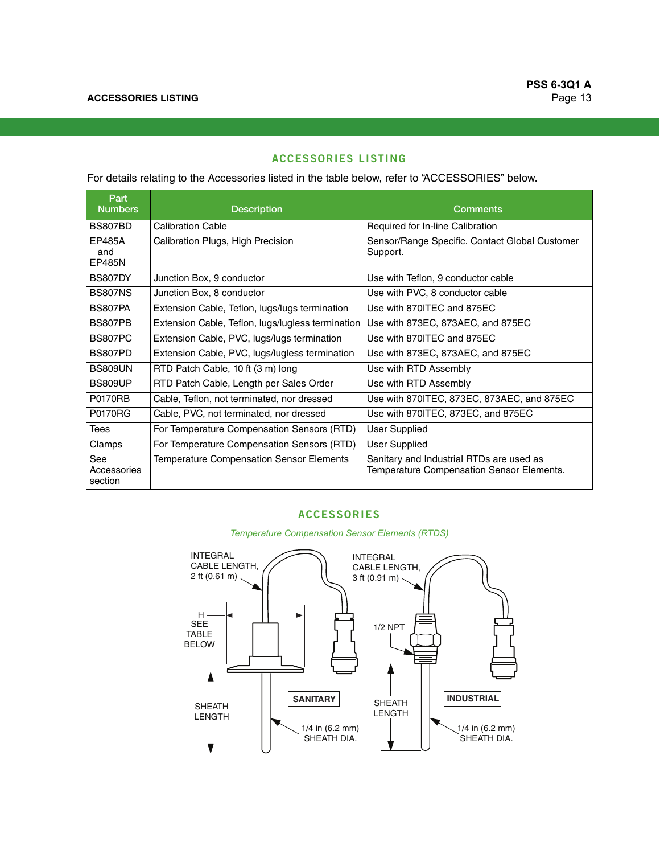# **ACCESSORIES LISTING**

For details relating to the Accessories listed in the table below, refer to ["ACCESSORIES"](#page-12-0) below.

| Part<br><b>Numbers</b>         | <b>Description</b>                                | <b>Comments</b>                                                                       |
|--------------------------------|---------------------------------------------------|---------------------------------------------------------------------------------------|
| <b>BS807BD</b>                 | <b>Calibration Cable</b>                          | Required for In-line Calibration                                                      |
| EP485A<br>and<br><b>EP485N</b> | Calibration Plugs, High Precision                 | Sensor/Range Specific. Contact Global Customer<br>Support.                            |
| <b>BS807DY</b>                 | Junction Box, 9 conductor                         | Use with Teflon, 9 conductor cable                                                    |
| <b>BS807NS</b>                 | Junction Box, 8 conductor                         | Use with PVC, 8 conductor cable                                                       |
| <b>BS807PA</b>                 | Extension Cable, Teflon, lugs/lugs termination    | Use with 870ITEC and 875EC                                                            |
| BS807PB                        | Extension Cable, Teflon, lugs/lugless termination | Use with 873EC, 873AEC, and 875EC                                                     |
| BS807PC                        | Extension Cable, PVC, lugs/lugs termination       | Use with 870 TEC and 875EC                                                            |
| BS807PD                        | Extension Cable, PVC, lugs/lugless termination    | Use with 873EC, 873AEC, and 875EC                                                     |
| <b>BS809UN</b>                 | RTD Patch Cable, 10 ft (3 m) long                 | Use with RTD Assembly                                                                 |
| <b>BS809UP</b>                 | RTD Patch Cable, Length per Sales Order           | Use with RTD Assembly                                                                 |
| <b>P0170RB</b>                 | Cable, Teflon, not terminated, nor dressed        | Use with 870ITEC, 873EC, 873AEC, and 875EC                                            |
| <b>P0170RG</b>                 | Cable, PVC, not terminated, nor dressed           | Use with 870ITEC, 873EC, and 875EC                                                    |
| <b>Tees</b>                    | For Temperature Compensation Sensors (RTD)        | <b>User Supplied</b>                                                                  |
| Clamps                         | For Temperature Compensation Sensors (RTD)        | <b>User Supplied</b>                                                                  |
| See<br>Accessories<br>section  | <b>Temperature Compensation Sensor Elements</b>   | Sanitary and Industrial RTDs are used as<br>Temperature Compensation Sensor Elements. |

## **ACCESSORIES**

<span id="page-12-0"></span>SANITARY **INDUSTRIAL** INTEGRAL CABLE LENGTH, 3 ft (0.91 m) 1/4 in (6.2 mm) SHEATH DIA. 1/4 in (6.2 mm) SHEATH DIA. 1/2 NPT SHEATH LENGTH SHEATH LENGTH INTEGRAL CABLE LENGTH, 2 ft (0.61 m)  $H$ SEE TABLE BELOW

*Temperature Compensation Sensor Elements (RTDS)*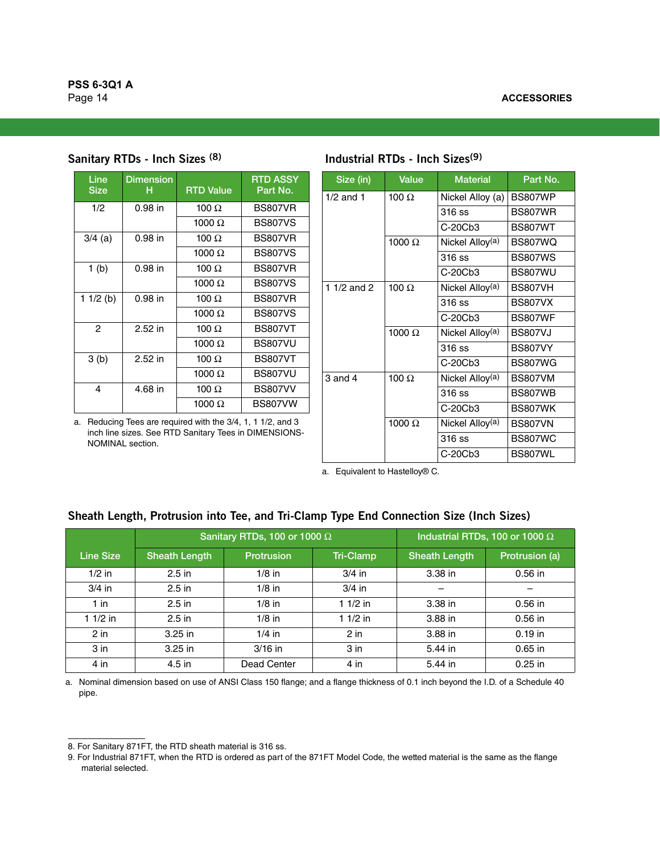|  |  |  | Sanitary RTDs - Inch Sizes <sup>(8)</sup> |  |
|--|--|--|-------------------------------------------|--|
|--|--|--|-------------------------------------------|--|

| Line<br><b>Size</b> | <b>Dimension</b><br>н | <b>RTD Value</b> | <b>RTD ASSY</b><br>Part No. |
|---------------------|-----------------------|------------------|-----------------------------|
| 1/2                 | $0.98$ in             | 100 $\Omega$     | <b>BS807VR</b>              |
|                     |                       | 1000 $\Omega$    | <b>BS807VS</b>              |
| $3/4$ (a)           | $0.98$ in             | 100 $\, \Omega$  | <b>BS807VR</b>              |
|                     |                       | 1000 $\Omega$    | <b>BS807VS</b>              |
| 1 <sub>(b)</sub>    | 0.98 in               | 100 $\Omega$     | <b>BS807VR</b>              |
|                     |                       | 1000 $\Omega$    | <b>BS807VS</b>              |
| 1 $1/2$ (b)         | $0.98$ in             | 100 $\Omega$     | <b>BS807VR</b>              |
|                     |                       | 1000 $\Omega$    | <b>BS807VS</b>              |
| 2                   | $2.52$ in             | 100 $\, \Omega$  | <b>BS807VT</b>              |
|                     |                       | 1000 $\Omega$    | <b>BS807VU</b>              |
| 3(b)                | 2.52 in               | 100 $\Omega$     | <b>BS807VT</b>              |
|                     |                       | 1000 $\Omega$    | <b>BS807VU</b>              |
| 4                   | 4.68 in               | 100 $\Omega$     | <b>BS807VV</b>              |
|                     |                       | 1000 $\Omega$    | BS807VW                     |

a. Reducing Tees are required with the 3/4, 1, 1 1/2, and 3 inch line sizes. See RTD Sanitary Tees in DIMENSIONS-NOMINAL section.

| Size (in)     | Value         | <b>Material</b>             | Part No.       |
|---------------|---------------|-----------------------------|----------------|
| $1/2$ and 1   | 100 $\Omega$  | Nickel Alloy (a)            | <b>BS807WP</b> |
|               |               | $316$ ss                    | <b>BS807WR</b> |
|               |               | $C-20Cb3$                   | <b>BS807WT</b> |
|               | 1000 $\Omega$ | Nickel Alloy <sup>(a)</sup> | <b>BS807WO</b> |
|               |               | 316 ss                      | <b>BS807WS</b> |
|               |               | $C-20Cb3$                   | <b>BS807WU</b> |
| 1 $1/2$ and 2 | 100 $\Omega$  | Nickel Alloy <sup>(a)</sup> | <b>BS807VH</b> |
|               |               | 316 ss                      | <b>BS807VX</b> |
|               |               | C-20Cb3                     | <b>BS807WF</b> |
|               | 1000 $\Omega$ | Nickel Alloy <sup>(a)</sup> | <b>BS807VJ</b> |
|               |               | 316 ss                      | <b>BS807VY</b> |
|               |               | $C-20Cb3$                   | <b>BS807WG</b> |
| $3$ and $4$   | 100 $\Omega$  | Nickel Alloy <sup>(a)</sup> | <b>BS807VM</b> |
|               |               | 316 ss                      | BS807WB        |
|               |               | $C-20Cb3$                   | BS807WK        |
|               | 1000 $\Omega$ | Nickel Alloy <sup>(a)</sup> | <b>BS807VN</b> |
|               |               | 316 ss                      | <b>BS807WC</b> |
|               |               | $C-20Cb3$                   | BS807WL        |

<span id="page-13-0"></span>a. Equivalent to Hastelloy® C.

# **Sheath Length, Protrusion into Tee, and Tri-Clamp Type End Connection Size (Inch Sizes)**

|                  |                      | Sanitary RTDs, 100 or 1000 $\Omega$ |                  | Industrial RTDs, 100 or 1000 $\Omega$ |                |
|------------------|----------------------|-------------------------------------|------------------|---------------------------------------|----------------|
| <b>Line Size</b> | <b>Sheath Length</b> | Protrusion                          | <b>Tri-Clamp</b> | <b>Sheath Length</b>                  | Protrusion (a) |
| $1/2$ in         | $2.5$ in             | $1/8$ in                            | $3/4$ in         | $3.38$ in                             | $0.56$ in      |
| $3/4$ in         | $2.5$ in             | $1/8$ in                            | $3/4$ in         |                                       |                |
| $1$ in           | $2.5$ in             | $1/8$ in                            | $11/2$ in        | $3.38$ in                             | $0.56$ in      |
| $11/2$ in        | $2.5$ in             | $1/8$ in                            | $11/2$ in        | 3.88 in                               | $0.56$ in      |
| $2$ in           | $3.25$ in            | $1/4$ in                            | $2$ in           | 3.88 in                               | $0.19$ in      |
| 3 <sub>in</sub>  | $3.25$ in            | $3/16$ in                           | 3 <sub>in</sub>  | 5.44 in                               | $0.65$ in      |
| $4$ in           | $4.5$ in             | Dead Center                         | $4$ in           | 5.44 in                               | $0.25$ in      |

a. Nominal dimension based on use of ANSI Class 150 flange; and a flange thickness of 0.1 inch beyond the I.D. of a Schedule 40 pipe.

# **Sanitary RTDs - Inch Sizes (8) Industrial RTDs - Inch Sizes(9)**

<sup>8.</sup> For Sanitary 871FT, the RTD sheath material is 316 ss.

<sup>9.</sup> For Industrial 871FT, when the RTD is ordered as part of the 871FT Model Code, the wetted material is the same as the flange material selected.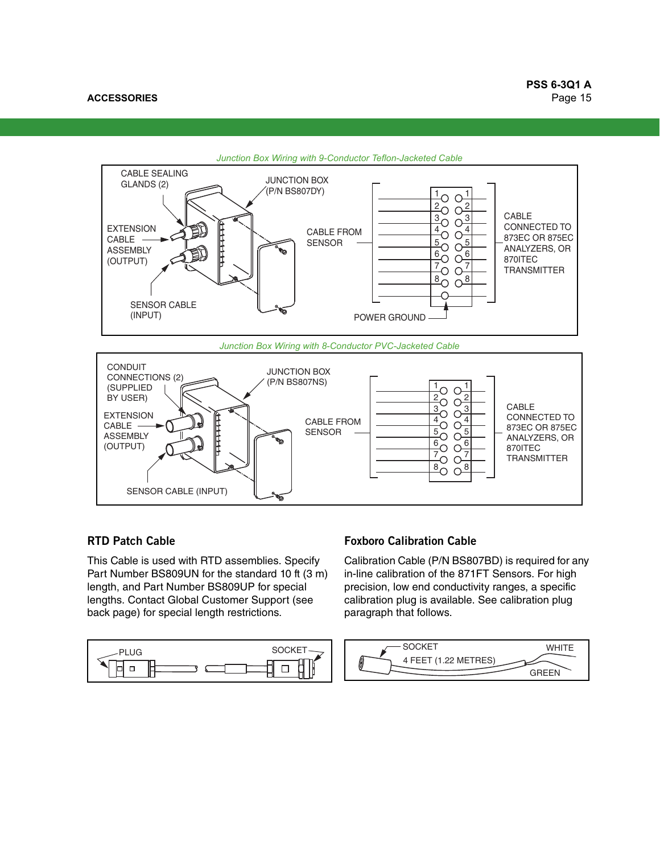

*Junction Box Wiring with 8-Conductor PVC-Jacketed Cable*



# **RTD Patch Cable**

This Cable is used with RTD assemblies. Specify Part Number BS809UN for the standard 10 ft (3 m) length, and Part Number BS809UP for special lengths. Contact Global Customer Support (see back page) for special length restrictions.



# **Foxboro Calibration Cable**

Calibration Cable (P/N BS807BD) is required for any in-line calibration of the 871FT Sensors. For high precision, low end conductivity ranges, a specific calibration plug is available. See calibration plug paragraph that follows.

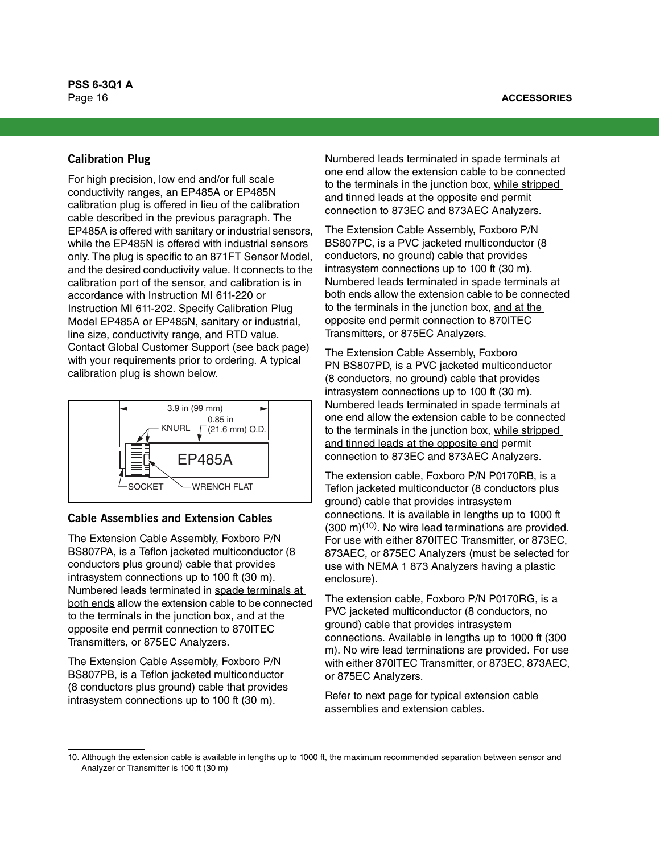# **Calibration Plug**

For high precision, low end and/or full scale conductivity ranges, an EP485A or EP485N calibration plug is offered in lieu of the calibration cable described in the previous paragraph. The EP485A is offered with sanitary or industrial sensors, while the EP485N is offered with industrial sensors only. The plug is specific to an 871FT Sensor Model, and the desired conductivity value. It connects to the calibration port of the sensor, and calibration is in accordance with Instruction MI 611-220 or Instruction MI 611-202. Specify Calibration Plug Model EP485A or EP485N, sanitary or industrial, line size, conductivity range, and RTD value. Contact Global Customer Support (see back page) with your requirements prior to ordering. A typical calibration plug is shown below.



# **Cable Assemblies and Extension Cables**

The Extension Cable Assembly, Foxboro P/N BS807PA, is a Teflon jacketed multiconductor (8 conductors plus ground) cable that provides intrasystem connections up to 100 ft (30 m). Numbered leads terminated in spade terminals at both ends allow the extension cable to be connected to the terminals in the junction box, and at the opposite end permit connection to 870ITEC Transmitters, or 875EC Analyzers.

The Extension Cable Assembly, Foxboro P/N BS807PB, is a Teflon jacketed multiconductor (8 conductors plus ground) cable that provides intrasystem connections up to 100 ft (30 m).

Numbered leads terminated in spade terminals at one end allow the extension cable to be connected to the terminals in the junction box, while stripped and tinned leads at the opposite end permit connection to 873EC and 873AEC Analyzers.

The Extension Cable Assembly, Foxboro P/N BS807PC, is a PVC jacketed multiconductor (8 conductors, no ground) cable that provides intrasystem connections up to 100 ft (30 m). Numbered leads terminated in spade terminals at both ends allow the extension cable to be connected to the terminals in the junction box, and at the opposite end permit connection to 870ITEC Transmitters, or 875EC Analyzers.

The Extension Cable Assembly, Foxboro PN BS807PD, is a PVC jacketed multiconductor (8 conductors, no ground) cable that provides intrasystem connections up to 100 ft (30 m). Numbered leads terminated in spade terminals at one end allow the extension cable to be connected to the terminals in the junction box, while stripped and tinned leads at the opposite end permit connection to 873EC and 873AEC Analyzers.

The extension cable, Foxboro P/N P0170RB, is a Teflon jacketed multiconductor (8 conductors plus ground) cable that provides intrasystem connections. It is available in lengths up to 1000 ft (300 m)(10). No wire lead terminations are provided. For use with either 870ITEC Transmitter, or 873EC, 873AEC, or 875EC Analyzers (must be selected for use with NEMA 1 873 Analyzers having a plastic enclosure).

The extension cable, Foxboro P/N P0170RG, is a PVC jacketed multiconductor (8 conductors, no ground) cable that provides intrasystem connections. Available in lengths up to 1000 ft (300 m). No wire lead terminations are provided. For use with either 870ITEC Transmitter, or 873EC, 873AEC, or 875EC Analyzers.

Refer to next page for typical extension cable assemblies and extension cables.

<sup>10.</sup> Although the extension cable is available in lengths up to 1000 ft, the maximum recommended separation between sensor and Analyzer or Transmitter is 100 ft (30 m)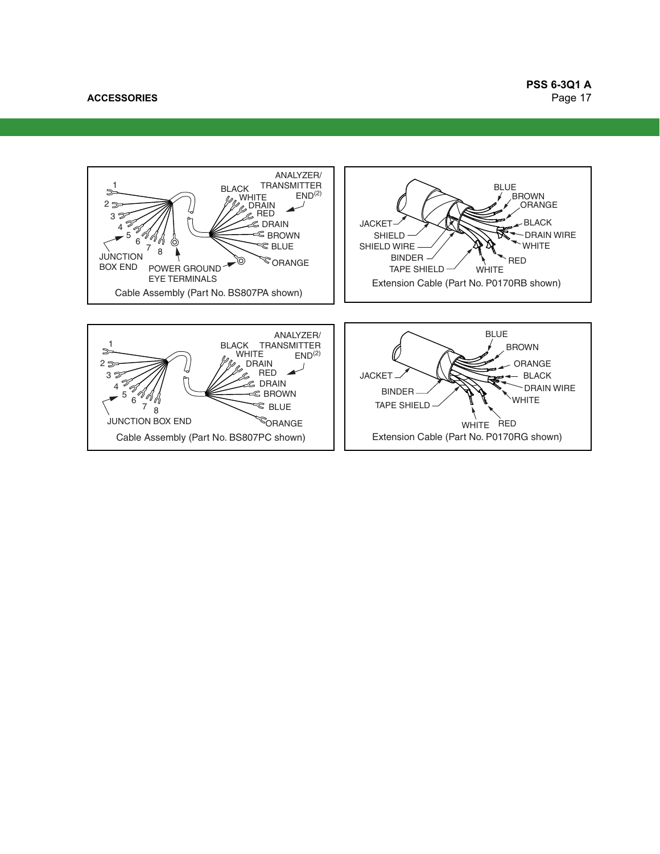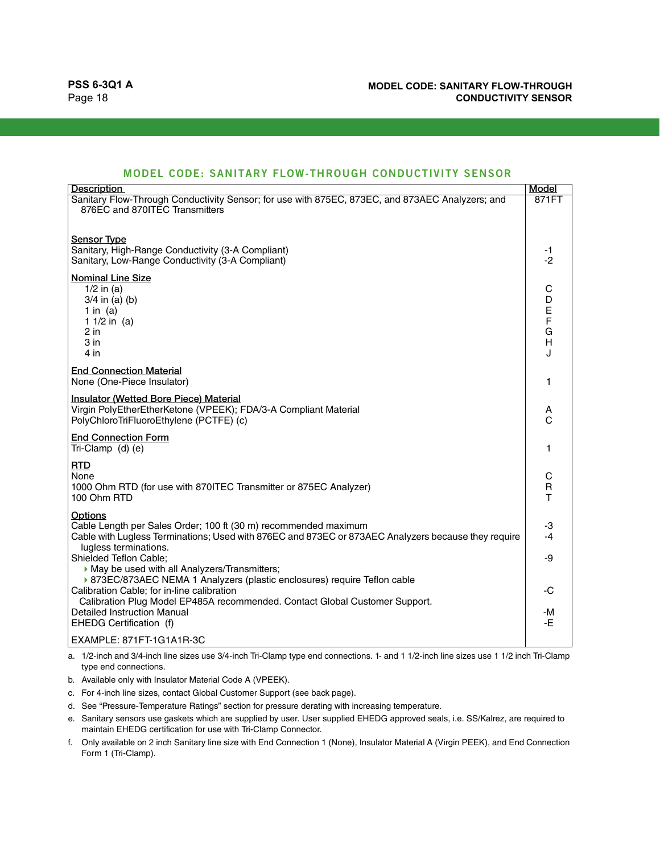| MODEL CODE: SANITARY FLOW-THROUGH CONDUCTIVITY SENSOR |  |  |  |
|-------------------------------------------------------|--|--|--|
|-------------------------------------------------------|--|--|--|

| <b>Description</b>                                                                                                                                                     | Model          |
|------------------------------------------------------------------------------------------------------------------------------------------------------------------------|----------------|
| Sanitary Flow-Through Conductivity Sensor; for use with 875EC, 873EC, and 873AEC Analyzers; and                                                                        | 871FT          |
| 876EC and 870ITEC Transmitters                                                                                                                                         |                |
|                                                                                                                                                                        |                |
| <b>Sensor Type</b>                                                                                                                                                     |                |
| Sanitary, High-Range Conductivity (3-A Compliant)                                                                                                                      | -1             |
| Sanitary, Low-Range Conductivity (3-A Compliant)                                                                                                                       | $-2$           |
| <b>Nominal Line Size</b>                                                                                                                                               |                |
| $1/2$ in (a)                                                                                                                                                           | С              |
| $3/4$ in (a) (b)                                                                                                                                                       | D              |
| 1 in $(a)$                                                                                                                                                             | E<br>F         |
| 1 $1/2$ in (a)                                                                                                                                                         |                |
| 2 in                                                                                                                                                                   | G              |
| 3 in                                                                                                                                                                   | $\overline{H}$ |
| $4$ in                                                                                                                                                                 | J              |
| <b>End Connection Material</b>                                                                                                                                         |                |
| None (One-Piece Insulator)                                                                                                                                             | 1              |
| Insulator (Wetted Bore Piece) Material                                                                                                                                 |                |
| Virgin PolyEtherEtherKetone (VPEEK); FDA/3-A Compliant Material                                                                                                        | А              |
| PolyChloroTriFluoroEthylene (PCTFE) (c)                                                                                                                                | C              |
| <b>End Connection Form</b>                                                                                                                                             |                |
| Tri-Clamp (d) (e)                                                                                                                                                      | 1              |
|                                                                                                                                                                        |                |
| <b>RTD</b><br>None                                                                                                                                                     | С              |
| 1000 Ohm RTD (for use with 870ITEC Transmitter or 875EC Analyzer)                                                                                                      | R              |
| 100 Ohm RTD                                                                                                                                                            | $\mathsf{T}$   |
|                                                                                                                                                                        |                |
| <b>Options</b>                                                                                                                                                         |                |
| Cable Length per Sales Order; 100 ft (30 m) recommended maximum<br>Cable with Lugless Terminations; Used with 876EC and 873EC or 873AEC Analyzers because they require | -3<br>$-4$     |
| lugless terminations.                                                                                                                                                  |                |
| Shielded Teflon Cable;                                                                                                                                                 | -9             |
| May be used with all Analyzers/Transmitters;                                                                                                                           |                |
| ▶ 873EC/873AEC NEMA 1 Analyzers (plastic enclosures) require Teflon cable                                                                                              |                |
| Calibration Cable; for in-line calibration                                                                                                                             | -C             |
| Calibration Plug Model EP485A recommended. Contact Global Customer Support.                                                                                            |                |
| <b>Detailed Instruction Manual</b>                                                                                                                                     | -M             |
| EHEDG Certification (f)                                                                                                                                                | -E.            |
| EXAMPLE: 871FT-1G1A1R-3C                                                                                                                                               |                |

<span id="page-17-0"></span>a. 1/2-inch and 3/4-inch line sizes use 3/4-inch Tri-Clamp type end connections. 1- and 1 1/2-inch line sizes use 1 1/2 inch Tri-Clamp type end connections.

b. Available only with Insulator Material Code A (VPEEK).

c. For 4-inch line sizes, contact Global Customer Support (see back page).

d. See "Pressure-Temperature Ratings" section for pressure derating with increasing temperature.

e. Sanitary sensors use gaskets which are supplied by user. User supplied EHEDG approved seals, i.e. SS/Kalrez, are required to maintain EHEDG certification for use with Tri-Clamp Connector.

f. Only available on 2 inch Sanitary line size with End Connection 1 (None), Insulator Material A (Virgin PEEK), and End Connection Form 1 (Tri-Clamp).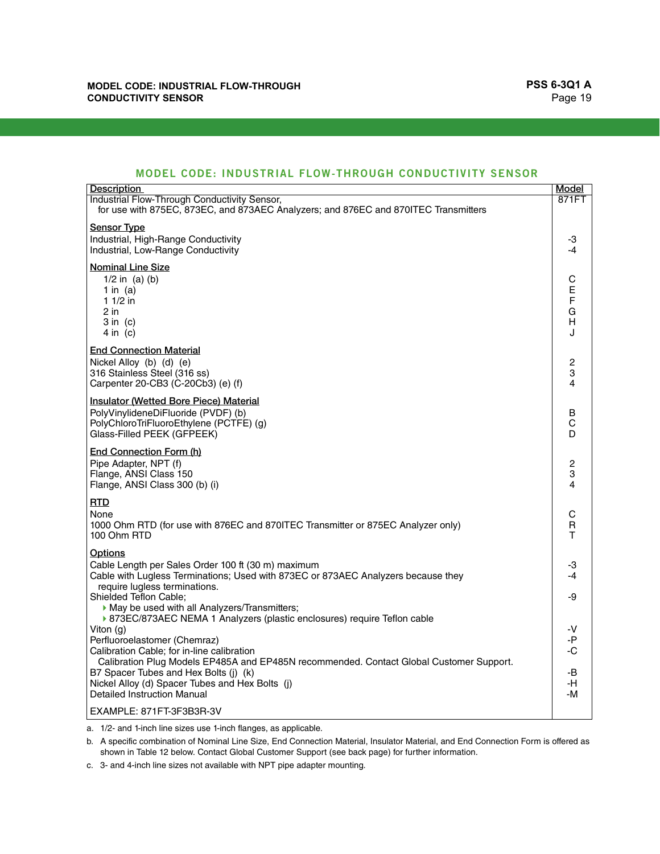# **MODEL CODE: INDUSTRIAL FLOW-THROUGH CONDUCTIVITY SENSOR**

| Description                                                                                                                         | <b>Model</b>        |
|-------------------------------------------------------------------------------------------------------------------------------------|---------------------|
| Industrial Flow-Through Conductivity Sensor,<br>for use with 875EC, 873EC, and 873AEC Analyzers; and 876EC and 870ITEC Transmitters | 871FT               |
|                                                                                                                                     |                     |
| <b>Sensor Type</b>                                                                                                                  |                     |
| Industrial, High-Range Conductivity<br>Industrial, Low-Range Conductivity                                                           | -3<br>$-4$          |
|                                                                                                                                     |                     |
| <b>Nominal Line Size</b><br>$1/2$ in (a) (b)                                                                                        | C                   |
| 1 in $(a)$                                                                                                                          | $\mathsf E$         |
| $11/2$ in                                                                                                                           | $\mathsf F$         |
| $2$ in                                                                                                                              | G                   |
| $3$ in $(c)$<br>$4$ in (c)                                                                                                          | Н<br>$\cdot$        |
|                                                                                                                                     |                     |
| <b>End Connection Material</b>                                                                                                      |                     |
| Nickel Alloy (b) (d) (e)<br>316 Stainless Steel (316 ss)                                                                            | $\overline{c}$<br>3 |
| Carpenter 20-CB3 (C-20Cb3) (e) (f)                                                                                                  | 4                   |
| <b>Insulator (Wetted Bore Piece) Material</b>                                                                                       |                     |
| PolyVinylideneDiFluoride (PVDF) (b)                                                                                                 | В                   |
| PolyChloroTriFluoroEthylene (PCTFE) (g)                                                                                             | С                   |
| Glass-Filled PEEK (GFPEEK)                                                                                                          | D                   |
| End Connection Form (h)                                                                                                             |                     |
| Pipe Adapter, NPT (f)                                                                                                               | $\overline{c}$<br>3 |
| Flange, ANSI Class 150<br>Flange, ANSI Class 300 (b) (i)                                                                            | 4                   |
| <b>RTD</b>                                                                                                                          |                     |
| None                                                                                                                                | C                   |
| 1000 Ohm RTD (for use with 876EC and 870ITEC Transmitter or 875EC Analyzer only)                                                    | $\mathsf R$         |
| 100 Ohm RTD                                                                                                                         | т                   |
| Options                                                                                                                             |                     |
| Cable Length per Sales Order 100 ft (30 m) maximum                                                                                  | -3                  |
| Cable with Lugless Terminations; Used with 873EC or 873AEC Analyzers because they<br>require lugless terminations.                  | -4                  |
| Shielded Teflon Cable;                                                                                                              | -9                  |
| May be used with all Analyzers/Transmitters;                                                                                        |                     |
| ▶ 873EC/873AEC NEMA 1 Analyzers (plastic enclosures) require Teflon cable                                                           | -V                  |
| Viton (g)<br>Perfluoroelastomer (Chemraz)                                                                                           | -P                  |
| Calibration Cable; for in-line calibration                                                                                          | -C                  |
| Calibration Plug Models EP485A and EP485N recommended. Contact Global Customer Support.                                             |                     |
| B7 Spacer Tubes and Hex Bolts (j) (k)<br>Nickel Alloy (d) Spacer Tubes and Hex Bolts (j)                                            | -B<br>-H            |
| <b>Detailed Instruction Manual</b>                                                                                                  | -M                  |
| EXAMPLE: 871FT-3F3B3R-3V                                                                                                            |                     |

<span id="page-18-0"></span>a. 1/2- and 1-inch line sizes use 1-inch flanges, as applicable.

<span id="page-18-2"></span>b. A specific combination of Nominal Line Size, End Connection Material, Insulator Material, and End Connection Form is offered as shown in [Table 12](#page-19-0) below. Contact Global Customer Support (see back page) for further information.

<span id="page-18-1"></span>c. 3- and 4-inch line sizes not available with NPT pipe adapter mounting.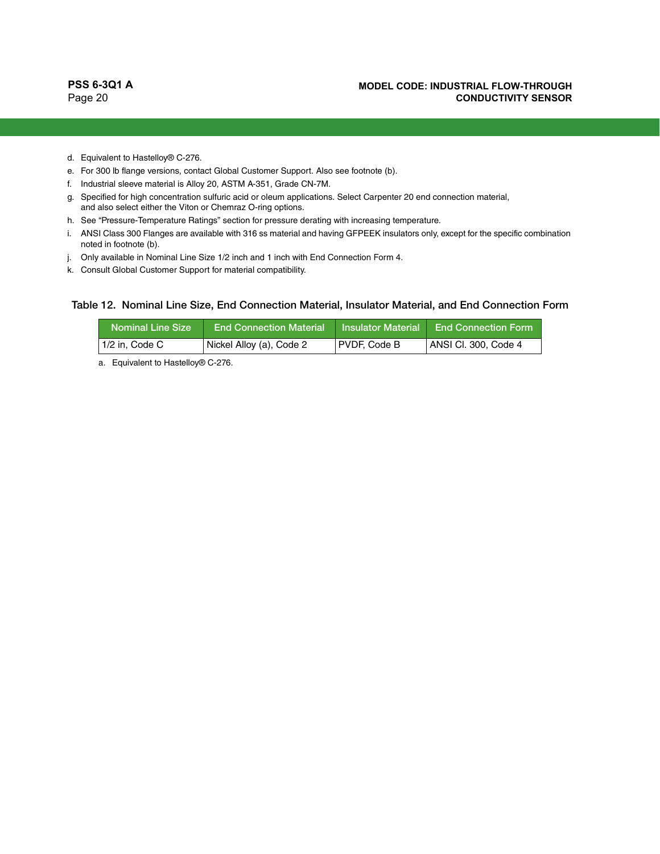- <span id="page-19-5"></span>d. Equivalent to Hastelloy® C-276.
- <span id="page-19-1"></span>e. For 300 lb flange versions, contact Global Customer Support. Also see footnote [\(b\).](#page-18-2)
- <span id="page-19-2"></span>f. Industrial sleeve material is Alloy 20, ASTM A-351, Grade CN-7M.
- <span id="page-19-3"></span>g. Specified for high concentration sulfuric acid or oleum applications. Select Carpenter 20 end connection material, and also select either the Viton or Chemraz O-ring options.
- h. See "Pressure-Temperature Ratings" section for pressure derating with increasing temperature.
- i. ANSI Class 300 Flanges are available with 316 ss material and having GFPEEK insulators only, except for the specific combination noted in footnot[e \(b\)](#page-18-2).
- <span id="page-19-4"></span>j. Only available in Nominal Line Size 1/2 inch and 1 inch with End Connection Form 4.
- k. Consult Global Customer Support for material compatibility.

#### <span id="page-19-0"></span>Table 12. Nominal Line Size, End Connection Material, Insulator Material, and End Connection Form

| <b>Nominal Line Size</b> | <b>End Connection Material</b> | <b>Insulator Material</b> | <b>End Connection Form</b> |
|--------------------------|--------------------------------|---------------------------|----------------------------|
| 1/2 in, Code C           | Nickel Alloy (a), Code 2       | PVDF, Code B              | ANSI Cl. 300, Code 4       |

a. Equivalent to Hastelloy® C-276.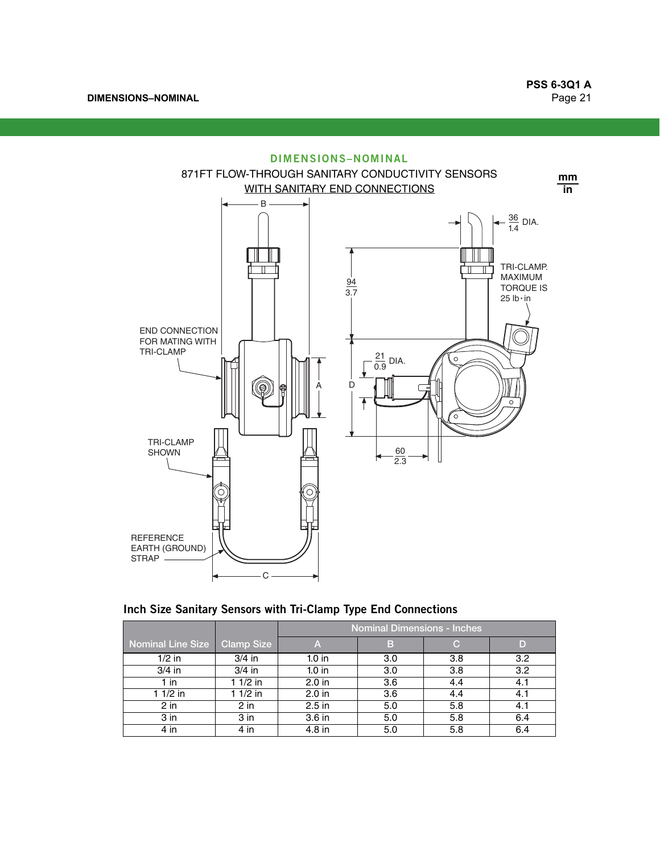**DIMENSIONS–NOMINAL**



|  | Inch Size Sanitary Sensors with Tri-Clamp Type End Connections |  |  |  |  |
|--|----------------------------------------------------------------|--|--|--|--|
|--|----------------------------------------------------------------|--|--|--|--|

|                          |                 | <b>Nominal Dimensions - Inches</b> |     |     |     |  |  |  |
|--------------------------|-----------------|------------------------------------|-----|-----|-----|--|--|--|
| <b>Nominal Line Size</b> | Clamp Size      | A                                  | B   | С   |     |  |  |  |
| $1/2$ in                 | $3/4$ in        | $1.0$ in                           | 3.0 | 3.8 | 3.2 |  |  |  |
| $3/4$ in                 | $3/4$ in        | $1.0$ in                           | 3.0 | 3.8 | 3.2 |  |  |  |
| 1 in                     | $11/2$ in       | 2.0 <sub>in</sub>                  | 3.6 | 4.4 | 4.1 |  |  |  |
| $11/2$ in                | $11/2$ in       | $2.0$ in                           | 3.6 | 4.4 | 4.1 |  |  |  |
| $2$ in                   | $2$ in          | $2.5$ in                           | 5.0 | 5.8 | 4.1 |  |  |  |
| 3 <sub>in</sub>          | 3 <sub>in</sub> | 3.6 in                             | 5.0 | 5.8 | 6.4 |  |  |  |
| $4$ in                   | $4$ in          | 4.8 in                             | 5.0 | 5.8 | 6.4 |  |  |  |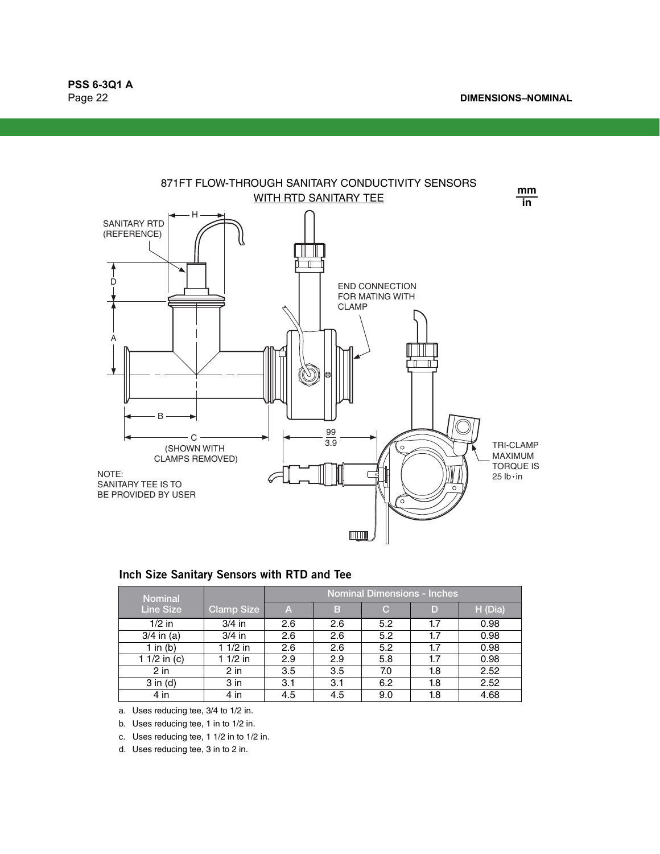

| Inch Size Sanitary Sensors with RTD and Tee |  |  |  |  |  |  |
|---------------------------------------------|--|--|--|--|--|--|
|---------------------------------------------|--|--|--|--|--|--|

| <b>Nominal</b>   |                   | <b>Nominal Dimensions - Inches</b> |     |     |     |         |  |  |
|------------------|-------------------|------------------------------------|-----|-----|-----|---------|--|--|
| <b>Line Size</b> | <b>Clamp Size</b> | A                                  | в   | С   | D   | H (Dia) |  |  |
| $1/2$ in         | $3/4$ in          | 2.6                                | 2.6 | 5.2 | 1.7 | 0.98    |  |  |
| $3/4$ in (a)     | $3/4$ in          | 2.6                                | 2.6 | 5.2 | 1.7 | 0.98    |  |  |
| 1 in $(b)$       | 1 1/2 in          | 2.6                                | 2.6 | 5.2 | 1.7 | 0.98    |  |  |
| 1 1/2 in (c)     | $11/2$ in         | 2.9                                | 2.9 | 5.8 | 1.7 | 0.98    |  |  |
| $2$ in           | 2 in              | 3.5                                | 3.5 | 7.0 | 1.8 | 2.52    |  |  |
| $3$ in $(d)$     | 3 in              | 3.1                                | 3.1 | 6.2 | 1.8 | 2.52    |  |  |
| $4$ in           | 4 in              | 4.5                                | 4.5 | 9.0 | 1.8 | 4.68    |  |  |

a. Uses reducing tee, 3/4 to 1/2 in.

b. Uses reducing tee, 1 in to 1/2 in.

c. Uses reducing tee, 1 1/2 in to 1/2 in.

d. Uses reducing tee, 3 in to 2 in.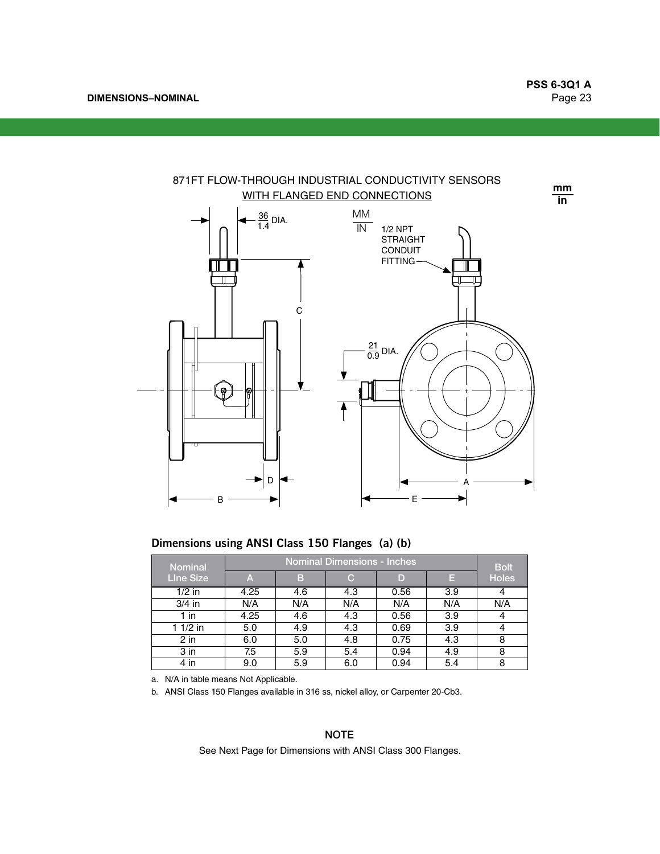**DIMENSIONS–NOMINAL**



# **Dimensions using ANSI Class 150 Flanges (a) (b)**

| Nominal          |      | <b>Bolt</b> |     |      |     |              |
|------------------|------|-------------|-----|------|-----|--------------|
| <b>Line Size</b> | A    | в           | C.  | D    | Е   | <b>Holes</b> |
| $1/2$ in         | 4.25 | 4.6         | 4.3 | 0.56 | 3.9 |              |
| $3/4$ in         | N/A  | N/A         | N/A | N/A  | N/A | N/A          |
| 1 in             | 4.25 | 4.6         | 4.3 | 0.56 | 3.9 |              |
| $11/2$ in        | 5.0  | 4.9         | 4.3 | 0.69 | 3.9 | 4            |
| $2$ in           | 6.0  | 5.0         | 4.8 | 0.75 | 4.3 | 8            |
| $3$ in           | 7.5  | 5.9         | 5.4 | 0.94 | 4.9 | 8            |
| 4 in             | 9.0  | 5.9         | 6.0 | 0.94 | 5.4 | 8            |

a. N/A in table means Not Applicable.

b. ANSI Class 150 Flanges available in 316 ss, nickel alloy, or Carpenter 20-Cb3.

### **NOTE**

See Next Page for Dimensions with ANSI Class 300 Flanges.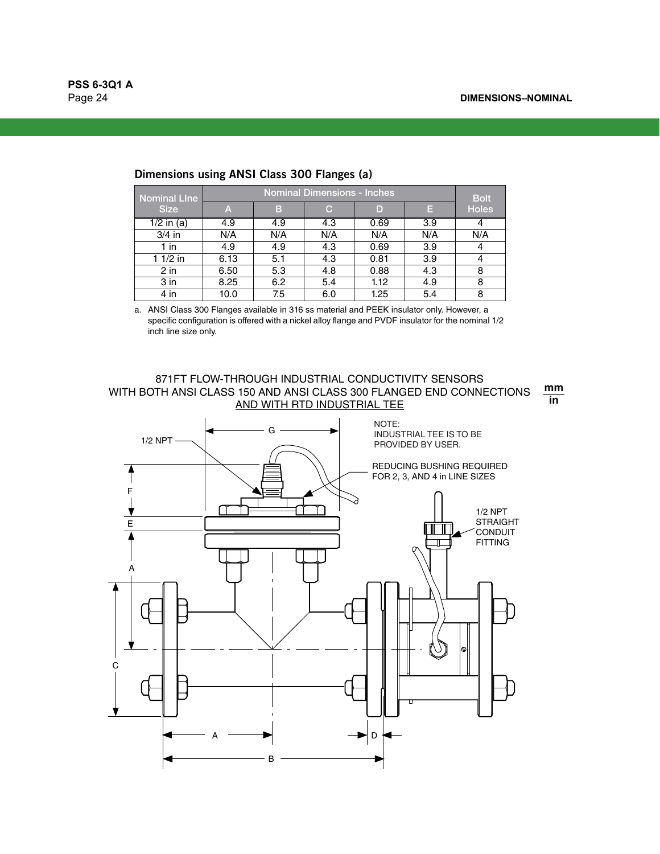| <b>Nominal Line</b> |      | <b>Bolt</b> |     |      |     |              |
|---------------------|------|-------------|-----|------|-----|--------------|
| <b>Size</b>         | A    | В           | C   | D    | E   | <b>Holes</b> |
| $1/2$ in (a)        | 4.9  | 4.9         | 4.3 | 0.69 | 3.9 |              |
| $3/4$ in            | N/A  | N/A         | N/A | N/A  | N/A | N/A          |
| 1 in                | 4.9  | 4.9         | 4.3 | 0.69 | 3.9 |              |
| $11/2$ in           | 6.13 | 5.1         | 4.3 | 0.81 | 3.9 |              |
| $2$ in              | 6.50 | 5.3         | 4.8 | 0.88 | 4.3 | 8            |
| $3$ in              | 8.25 | 6.2         | 5.4 | 1.12 | 4.9 | 8            |
| 4 in                | 10.0 | 7.5         | 6.0 | 1.25 | 5.4 | 8            |

# **Dimensions using ANSI Class 300 Flanges (a)**

<span id="page-23-0"></span>a. ANSI Class 300 Flanges available in 316 ss material and PEEK insulator only. However, a specific configuration is offered with a nickel alloy flange and PVDF insulator for the nominal 1/2 inch line size only.

## 871FT FLOW-THROUGH INDUSTRIAL CONDUCTIVITY SENSORS WITH BOTH ANSI CLASS 150 AND ANSI CLASS 300 FLANGED END CONNECTIONS AND WITH RTD INDUSTRIAL TEE

**mm in**

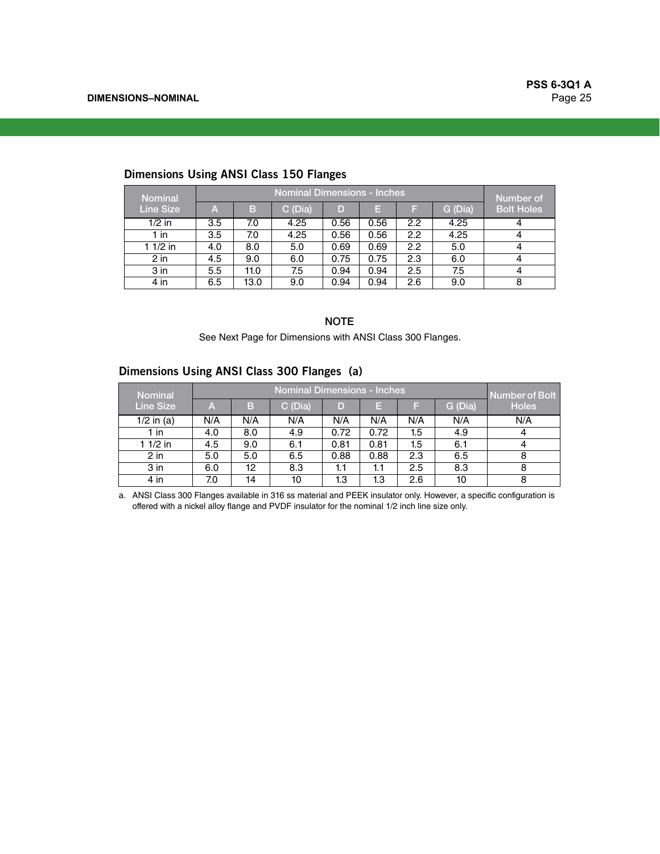| <b>Nominal</b>   | <b>Nominal Dimensions - Inches</b> |      |         |      |      |     |         |                                |  |
|------------------|------------------------------------|------|---------|------|------|-----|---------|--------------------------------|--|
| <b>Line Size</b> | A                                  | B    | C (Dia) | D    | E    | F   | G (Dia) | Number of<br><b>Bolt Holes</b> |  |
| $1/2$ in         | 3.5                                | 7.0  | 4.25    | 0.56 | 0.56 | 2.2 | 4.25    | 4                              |  |
| 1 in             | 3.5                                | 7.0  | 4.25    | 0.56 | 0.56 | 2.2 | 4.25    | 4                              |  |
| $11/2$ in        | 4.0                                | 8.0  | 5.0     | 0.69 | 0.69 | 2.2 | 5.0     | 4                              |  |
| $2$ in           | 4.5                                | 9.0  | 6.0     | 0.75 | 0.75 | 2.3 | 6.0     | 4                              |  |
| 3 in             | 5.5                                | 11.0 | 7.5     | 0.94 | 0.94 | 2.5 | 7.5     | 4                              |  |
| $4$ in           | 6.5                                | 13.0 | 9.0     | 0.94 | 0.94 | 2.6 | 9.0     | 8                              |  |

# **Dimensions Using ANSI Class 150 Flanges**

#### NOTE

See Next Page for Dimensions with ANSI Class 300 Flanges.

# **Dimensions Using ANSI Class 300 Flanges (a)**

| Nominal          |     | <b>Nominal Dimensions - Inches</b> |         |      |      |         |         |                                |  |  |  |
|------------------|-----|------------------------------------|---------|------|------|---------|---------|--------------------------------|--|--|--|
| <b>Line Size</b> | Α   | B                                  | C (Dia) | D    | E    |         | G (Dia) | Number of Bolt<br><b>Holes</b> |  |  |  |
| $1/2$ in (a)     | N/A | N/A                                | N/A     | N/A  | N/A  | N/A     | N/A     | N/A                            |  |  |  |
| l in             | 4.0 | 8.0                                | 4.9     | 0.72 | 0.72 | 1.5     | 4.9     |                                |  |  |  |
| 1 1/2 in         | 4.5 | 9.0                                | 6.1     | 0.81 | 0.81 | $1.5\,$ | 6.1     |                                |  |  |  |
| $2$ in           | 5.0 | 5.0                                | 6.5     | 0.88 | 0.88 | 2.3     | 6.5     | 8                              |  |  |  |
| 3 in             | 6.0 | 12                                 | 8.3     | 1.1  | 1.1  | 2.5     | 8.3     |                                |  |  |  |
| 4 in             | 7.0 | 14                                 | 10      | 1.3  | 1.3  | 2.6     | 10      | 8                              |  |  |  |

a. ANSI Class 300 Flanges available in 316 ss material and PEEK insulator only. However, a specific configuration is offered with a nickel alloy flange and PVDF insulator for the nominal 1/2 inch line size only.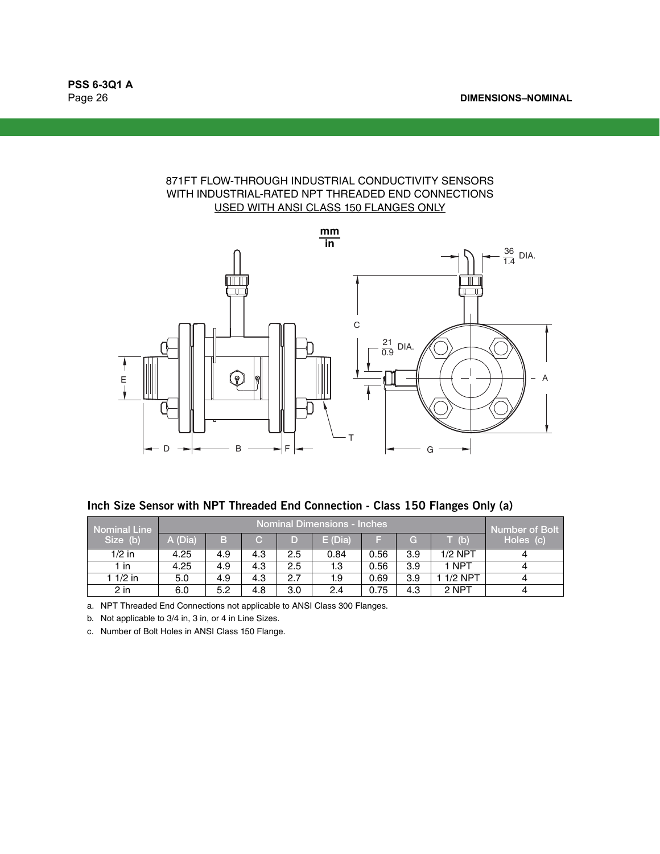# 871FT FLOW-THROUGH INDUSTRIAL CONDUCTIVITY SENSORS WITH INDUSTRIAL-RATED NPT THREADED END CONNECTIONS USED WITH ANSI CLASS 150 FLANGES ONLY



**Inch Size Sensor with NPT Threaded End Connection - Class 150 Flanges Only (a)**

| <b>Nominal Line</b> |         | Nominal Dimensions - Inches |     |     |           |      |     |                                                   |           |  |  |
|---------------------|---------|-----------------------------|-----|-----|-----------|------|-----|---------------------------------------------------|-----------|--|--|
| Size (b)            | A (Dia) | B                           | C.  | D   | $E$ (Dia) |      | G   | $\mathsf{L}^{\mathsf{p}}\left( \mathsf{b}\right)$ | Holes (c) |  |  |
| $1/2$ in            | 4.25    | 4.9                         | 4.3 | 2.5 | 0.84      | 0.56 | 3.9 | $1/2$ NPT                                         |           |  |  |
| 1 in                | 4.25    | 4.9                         | 4.3 | 2.5 | 1.3       | 0.56 | 3.9 | 1 NPT                                             |           |  |  |
| 1 1/2 in            | 5.0     | 4.9                         | 4.3 | 2.7 | 1.9       | 0.69 | 3.9 | $1/2$ NPT                                         |           |  |  |
| 2 in                | 6.0     | 5.2                         | 4.8 | 3.0 | 2.4       | 0.75 | 4.3 | 2 NPT                                             |           |  |  |

a. NPT Threaded End Connections not applicable to ANSI Class 300 Flanges.

<span id="page-25-0"></span>b. Not applicable to 3/4 in, 3 in, or 4 in Line Sizes.

c. Number of Bolt Holes in ANSI Class 150 Flange.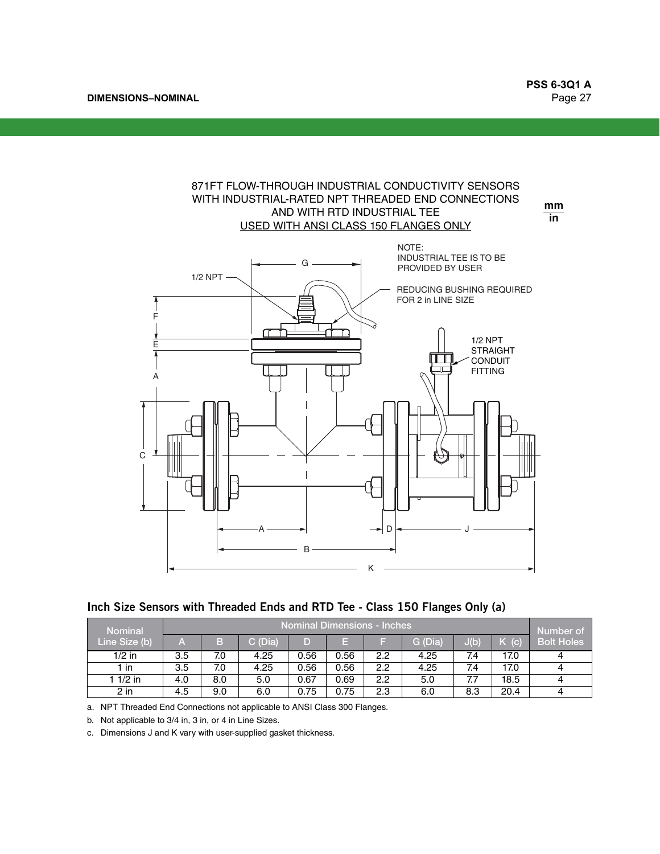**DIMENSIONS–NOMINAL**

## 871FT FLOW-THROUGH INDUSTRIAL CONDUCTIVITY SENSORS WITH INDUSTRIAL-RATED NPT THREADED END CONNECTIONS USED WITH ANSI CLASS 150 FLANGES ONLY AND WITH RTD INDUSTRIAL TEE **mm**

**in**



**Inch Size Sensors with Threaded Ends and RTD Tee - Class 150 Flanges Only (a)**

| <b>Nominal</b> |     | Nominal Dimensions - Inches |         |      |      |     |         |      |                   |                   |
|----------------|-----|-----------------------------|---------|------|------|-----|---------|------|-------------------|-------------------|
| Line Size (b)  | Α   | B.                          | C (Dia) | D    | н    |     | G (Dia) | J(b) | $\mathbf{C}$<br>K | <b>Bolt Holes</b> |
| $1/2$ in       | 3.5 | 7.0                         | 4.25    | 0.56 | 0.56 | 2.2 | 4.25    | 7.4  | 17.0              |                   |
| 1 in           | 3.5 | 7.0                         | 4.25    | 0.56 | 0.56 | 2.2 | 4.25    | 7.4  | 17.0              | 4                 |
| 1 $1/2$ in     | 4.0 | 8.0                         | 5.0     | 0.67 | 0.69 | 2.2 | 5.0     |      | 18.5              | 4                 |
| $2$ in         | 4.5 | 9.0                         | 6.0     | 0.75 | 0.75 | 2.3 | 6.0     | 8.3  | 20.4              |                   |

a. NPT Threaded End Connections not applicable to ANSI Class 300 Flanges.

b. Not applicable to 3/4 in, 3 in, or 4 in Line Sizes.

c. Dimensions J and K vary with user-supplied gasket thickness.